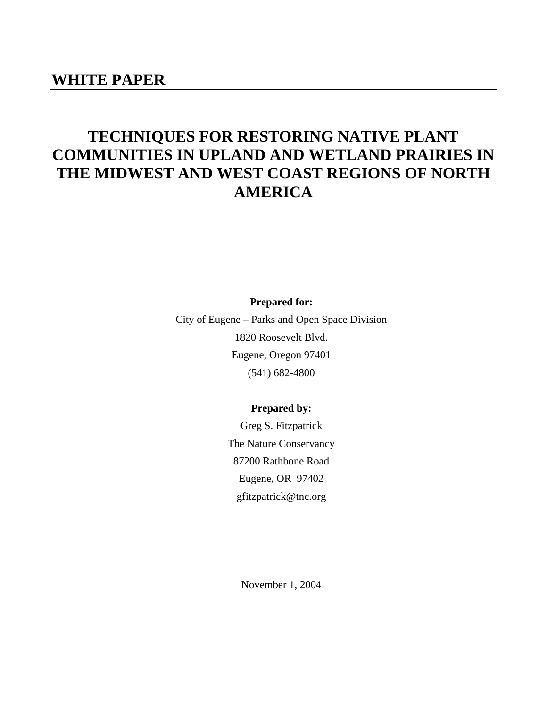## **WHITE PAPER**

# **TECHNIQUES FOR RESTORING NATIVE PLANT COMMUNITIES IN UPLAND AND WETLAND PRAIRIES IN THE MIDWEST AND WEST COAST REGIONS OF NORTH AMERICA**

**Prepared for:** 

City of Eugene – Parks and Open Space Division 1820 Roosevelt Blvd. Eugene, Oregon 97401 (541) 682-4800

## **Prepared by:**

Greg S. Fitzpatrick The Nature Conservancy 87200 Rathbone Road Eugene, OR 97402 gfitzpatrick@tnc.org

November 1, 2004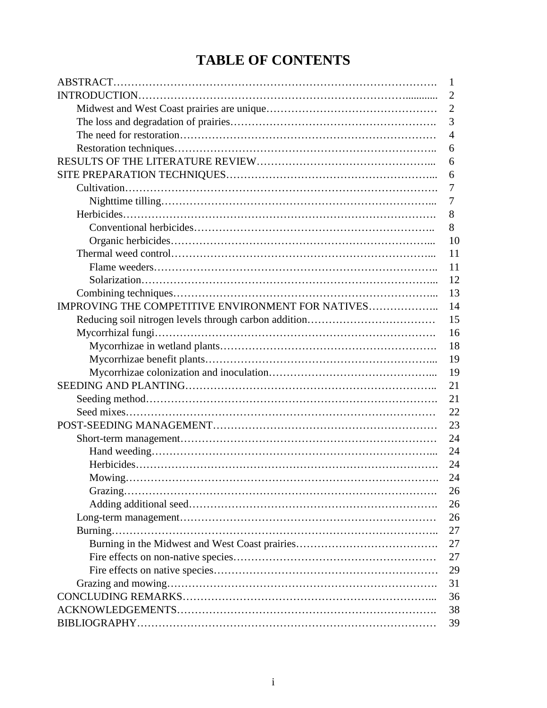# **TABLE OF CONTENTS**

|                                                   | 1              |
|---------------------------------------------------|----------------|
|                                                   | $\overline{2}$ |
|                                                   | $\overline{2}$ |
|                                                   | 3              |
|                                                   | 4              |
|                                                   | 6              |
|                                                   | 6              |
|                                                   | 6              |
|                                                   | 7              |
|                                                   | 7              |
|                                                   | 8              |
|                                                   | 8              |
|                                                   | 10             |
|                                                   | 11             |
|                                                   | 11             |
|                                                   | 12             |
|                                                   | 13             |
| IMPROVING THE COMPETITIVE ENVIRONMENT FOR NATIVES | 14             |
|                                                   | 15             |
|                                                   | 16             |
|                                                   | 18             |
|                                                   | 19             |
|                                                   | 19             |
|                                                   | 21             |
|                                                   | 21             |
|                                                   | 22             |
|                                                   | 23             |
|                                                   | 24             |
|                                                   | 24             |
|                                                   | 24             |
|                                                   | 24             |
|                                                   | 26             |
|                                                   | 26             |
|                                                   | 26             |
|                                                   | 27             |
|                                                   | 27             |
|                                                   | 27             |
|                                                   | 29             |
|                                                   | 31             |
|                                                   | 36             |
|                                                   | 38             |
|                                                   | 39             |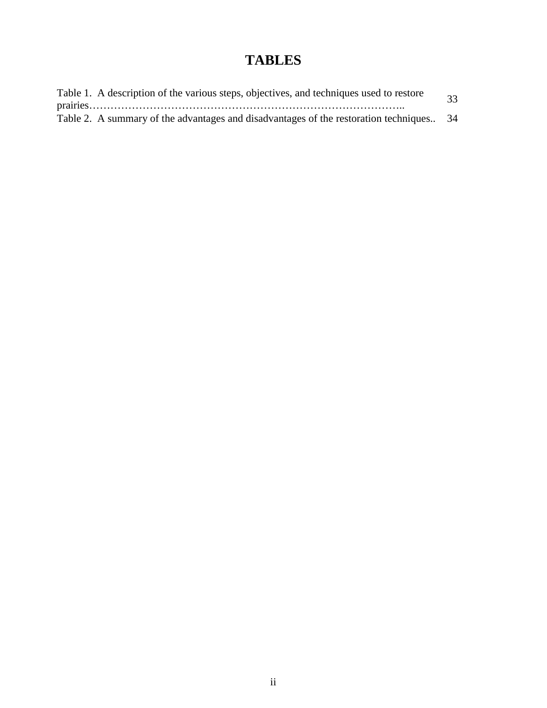# **TABLES**

| Table 1. A description of the various steps, objectives, and techniques used to restore  | 33 |
|------------------------------------------------------------------------------------------|----|
|                                                                                          |    |
| Table 2. A summary of the advantages and disadvantages of the restoration techniques. 34 |    |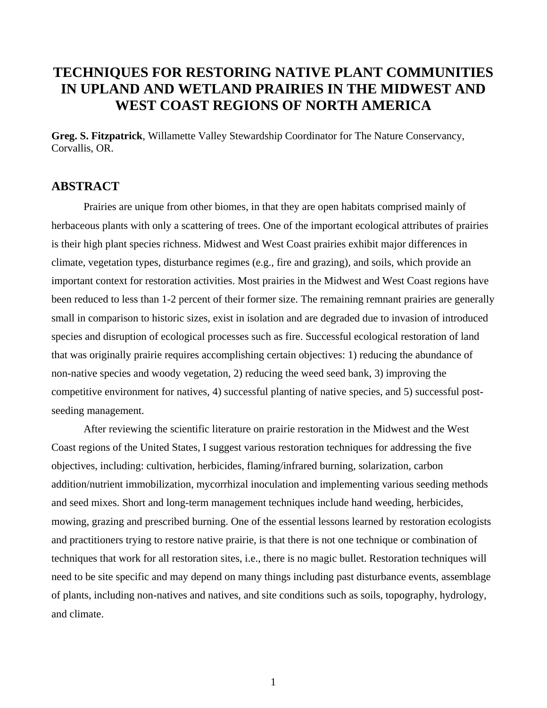## **TECHNIQUES FOR RESTORING NATIVE PLANT COMMUNITIES IN UPLAND AND WETLAND PRAIRIES IN THE MIDWEST AND WEST COAST REGIONS OF NORTH AMERICA**

**Greg. S. Fitzpatrick**, Willamette Valley Stewardship Coordinator for The Nature Conservancy, Corvallis, OR.

## **ABSTRACT**

Prairies are unique from other biomes, in that they are open habitats comprised mainly of herbaceous plants with only a scattering of trees. One of the important ecological attributes of prairies is their high plant species richness. Midwest and West Coast prairies exhibit major differences in climate, vegetation types, disturbance regimes (e.g., fire and grazing), and soils, which provide an important context for restoration activities. Most prairies in the Midwest and West Coast regions have been reduced to less than 1-2 percent of their former size. The remaining remnant prairies are generally small in comparison to historic sizes, exist in isolation and are degraded due to invasion of introduced species and disruption of ecological processes such as fire. Successful ecological restoration of land that was originally prairie requires accomplishing certain objectives: 1) reducing the abundance of non-native species and woody vegetation, 2) reducing the weed seed bank, 3) improving the competitive environment for natives, 4) successful planting of native species, and 5) successful postseeding management.

After reviewing the scientific literature on prairie restoration in the Midwest and the West Coast regions of the United States, I suggest various restoration techniques for addressing the five objectives, including: cultivation, herbicides, flaming/infrared burning, solarization, carbon addition/nutrient immobilization, mycorrhizal inoculation and implementing various seeding methods and seed mixes. Short and long-term management techniques include hand weeding, herbicides, mowing, grazing and prescribed burning. One of the essential lessons learned by restoration ecologists and practitioners trying to restore native prairie, is that there is not one technique or combination of techniques that work for all restoration sites, i.e., there is no magic bullet. Restoration techniques will need to be site specific and may depend on many things including past disturbance events, assemblage of plants, including non-natives and natives, and site conditions such as soils, topography, hydrology, and climate.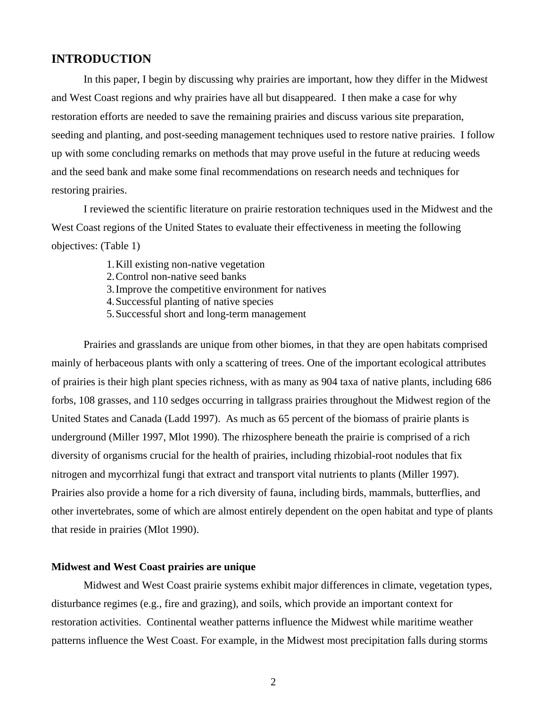## **INTRODUCTION**

In this paper, I begin by discussing why prairies are important, how they differ in the Midwest and West Coast regions and why prairies have all but disappeared. I then make a case for why restoration efforts are needed to save the remaining prairies and discuss various site preparation, seeding and planting, and post-seeding management techniques used to restore native prairies. I follow up with some concluding remarks on methods that may prove useful in the future at reducing weeds and the seed bank and make some final recommendations on research needs and techniques for restoring prairies.

I reviewed the scientific literature on prairie restoration techniques used in the Midwest and the West Coast regions of the United States to evaluate their effectiveness in meeting the following objectives: (Table 1)

- 1.Kill existing non-native vegetation
- 2.Control non-native seed banks
- 3.Improve the competitive environment for natives
- 4.Successful planting of native species
- 5.Successful short and long-term management

Prairies and grasslands are unique from other biomes, in that they are open habitats comprised mainly of herbaceous plants with only a scattering of trees. One of the important ecological attributes of prairies is their high plant species richness, with as many as 904 taxa of native plants, including 686 forbs, 108 grasses, and 110 sedges occurring in tallgrass prairies throughout the Midwest region of the United States and Canada (Ladd 1997). As much as 65 percent of the biomass of prairie plants is underground (Miller 1997, Mlot 1990). The rhizosphere beneath the prairie is comprised of a rich diversity of organisms crucial for the health of prairies, including rhizobial-root nodules that fix nitrogen and mycorrhizal fungi that extract and transport vital nutrients to plants (Miller 1997). Prairies also provide a home for a rich diversity of fauna, including birds, mammals, butterflies, and other invertebrates, some of which are almost entirely dependent on the open habitat and type of plants that reside in prairies (Mlot 1990).

#### **Midwest and West Coast prairies are unique**

Midwest and West Coast prairie systems exhibit major differences in climate, vegetation types, disturbance regimes (e.g., fire and grazing), and soils, which provide an important context for restoration activities. Continental weather patterns influence the Midwest while maritime weather patterns influence the West Coast. For example, in the Midwest most precipitation falls during storms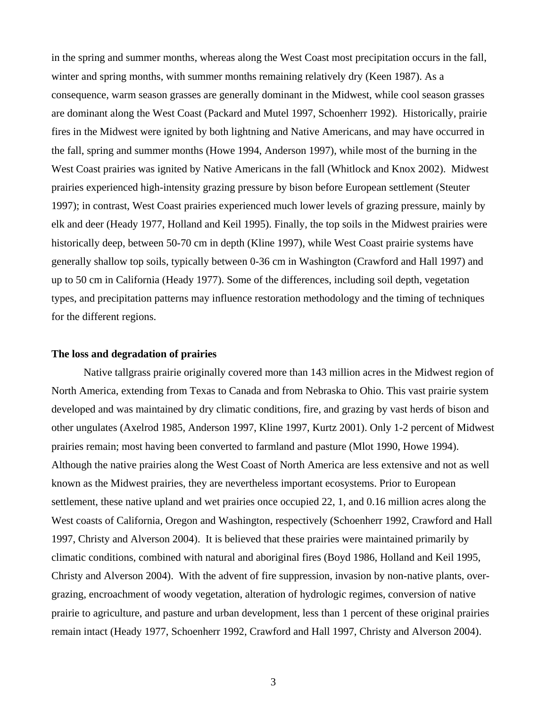in the spring and summer months, whereas along the West Coast most precipitation occurs in the fall, winter and spring months, with summer months remaining relatively dry (Keen 1987). As a consequence, warm season grasses are generally dominant in the Midwest, while cool season grasses are dominant along the West Coast (Packard and Mutel 1997, Schoenherr 1992). Historically, prairie fires in the Midwest were ignited by both lightning and Native Americans, and may have occurred in the fall, spring and summer months (Howe 1994, Anderson 1997), while most of the burning in the West Coast prairies was ignited by Native Americans in the fall (Whitlock and Knox 2002). Midwest prairies experienced high-intensity grazing pressure by bison before European settlement (Steuter 1997); in contrast, West Coast prairies experienced much lower levels of grazing pressure, mainly by elk and deer (Heady 1977, Holland and Keil 1995). Finally, the top soils in the Midwest prairies were historically deep, between 50-70 cm in depth (Kline 1997), while West Coast prairie systems have generally shallow top soils, typically between 0-36 cm in Washington (Crawford and Hall 1997) and up to 50 cm in California (Heady 1977). Some of the differences, including soil depth, vegetation types, and precipitation patterns may influence restoration methodology and the timing of techniques for the different regions.

#### **The loss and degradation of prairies**

Native tallgrass prairie originally covered more than 143 million acres in the Midwest region of North America, extending from Texas to Canada and from Nebraska to Ohio. This vast prairie system developed and was maintained by dry climatic conditions, fire, and grazing by vast herds of bison and other ungulates (Axelrod 1985, Anderson 1997, Kline 1997, Kurtz 2001). Only 1-2 percent of Midwest prairies remain; most having been converted to farmland and pasture (Mlot 1990, Howe 1994). Although the native prairies along the West Coast of North America are less extensive and not as well known as the Midwest prairies, they are nevertheless important ecosystems. Prior to European settlement, these native upland and wet prairies once occupied 22, 1, and 0.16 million acres along the West coasts of California, Oregon and Washington, respectively (Schoenherr 1992, Crawford and Hall 1997, Christy and Alverson 2004). It is believed that these prairies were maintained primarily by climatic conditions, combined with natural and aboriginal fires (Boyd 1986, Holland and Keil 1995, Christy and Alverson 2004). With the advent of fire suppression, invasion by non-native plants, overgrazing, encroachment of woody vegetation, alteration of hydrologic regimes, conversion of native prairie to agriculture, and pasture and urban development, less than 1 percent of these original prairies remain intact (Heady 1977, Schoenherr 1992, Crawford and Hall 1997, Christy and Alverson 2004).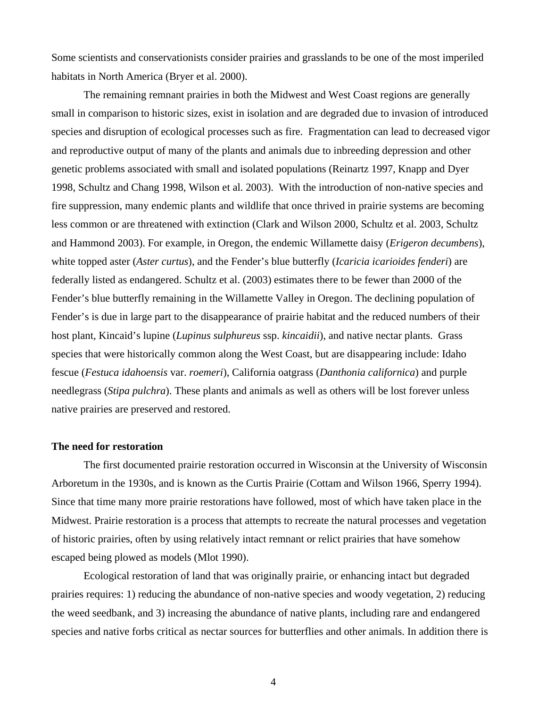Some scientists and conservationists consider prairies and grasslands to be one of the most imperiled habitats in North America (Bryer et al. 2000).

The remaining remnant prairies in both the Midwest and West Coast regions are generally small in comparison to historic sizes, exist in isolation and are degraded due to invasion of introduced species and disruption of ecological processes such as fire. Fragmentation can lead to decreased vigor and reproductive output of many of the plants and animals due to inbreeding depression and other genetic problems associated with small and isolated populations (Reinartz 1997, Knapp and Dyer 1998, Schultz and Chang 1998, Wilson et al. 2003). With the introduction of non-native species and fire suppression, many endemic plants and wildlife that once thrived in prairie systems are becoming less common or are threatened with extinction (Clark and Wilson 2000, Schultz et al. 2003, Schultz and Hammond 2003). For example, in Oregon, the endemic Willamette daisy (*Erigeron decumbens*), white topped aster (*Aster curtus*), and the Fender's blue butterfly (*Icaricia icarioides fenderi*) are federally listed as endangered. Schultz et al. (2003) estimates there to be fewer than 2000 of the Fender's blue butterfly remaining in the Willamette Valley in Oregon. The declining population of Fender's is due in large part to the disappearance of prairie habitat and the reduced numbers of their host plant, Kincaid's lupine (*Lupinus sulphureus* ssp. *kincaidii*), and native nectar plants. Grass species that were historically common along the West Coast, but are disappearing include: Idaho fescue (*Festuca idahoensis* var. *roemeri*), California oatgrass (*Danthonia californica*) and purple needlegrass (*Stipa pulchra*). These plants and animals as well as others will be lost forever unless native prairies are preserved and restored.

#### **The need for restoration**

The first documented prairie restoration occurred in Wisconsin at the University of Wisconsin Arboretum in the 1930s, and is known as the Curtis Prairie (Cottam and Wilson 1966, Sperry 1994). Since that time many more prairie restorations have followed, most of which have taken place in the Midwest. Prairie restoration is a process that attempts to recreate the natural processes and vegetation of historic prairies, often by using relatively intact remnant or relict prairies that have somehow escaped being plowed as models (Mlot 1990).

Ecological restoration of land that was originally prairie, or enhancing intact but degraded prairies requires: 1) reducing the abundance of non-native species and woody vegetation, 2) reducing the weed seedbank, and 3) increasing the abundance of native plants, including rare and endangered species and native forbs critical as nectar sources for butterflies and other animals. In addition there is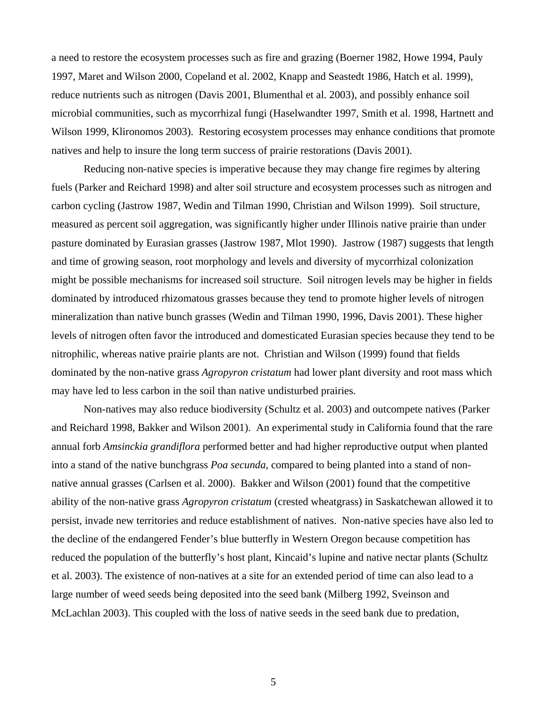a need to restore the ecosystem processes such as fire and grazing (Boerner 1982, Howe 1994, Pauly 1997, Maret and Wilson 2000, Copeland et al. 2002, Knapp and Seastedt 1986, Hatch et al. 1999), reduce nutrients such as nitrogen (Davis 2001, Blumenthal et al. 2003), and possibly enhance soil microbial communities, such as mycorrhizal fungi (Haselwandter 1997, Smith et al. 1998, Hartnett and Wilson 1999, Klironomos 2003). Restoring ecosystem processes may enhance conditions that promote natives and help to insure the long term success of prairie restorations (Davis 2001).

Reducing non-native species is imperative because they may change fire regimes by altering fuels (Parker and Reichard 1998) and alter soil structure and ecosystem processes such as nitrogen and carbon cycling (Jastrow 1987, Wedin and Tilman 1990, Christian and Wilson 1999). Soil structure, measured as percent soil aggregation, was significantly higher under Illinois native prairie than under pasture dominated by Eurasian grasses (Jastrow 1987, Mlot 1990). Jastrow (1987) suggests that length and time of growing season, root morphology and levels and diversity of mycorrhizal colonization might be possible mechanisms for increased soil structure. Soil nitrogen levels may be higher in fields dominated by introduced rhizomatous grasses because they tend to promote higher levels of nitrogen mineralization than native bunch grasses (Wedin and Tilman 1990, 1996, Davis 2001). These higher levels of nitrogen often favor the introduced and domesticated Eurasian species because they tend to be nitrophilic, whereas native prairie plants are not. Christian and Wilson (1999) found that fields dominated by the non-native grass *Agropyron cristatum* had lower plant diversity and root mass which may have led to less carbon in the soil than native undisturbed prairies.

 Non-natives may also reduce biodiversity (Schultz et al. 2003) and outcompete natives (Parker and Reichard 1998, Bakker and Wilson 2001). An experimental study in California found that the rare annual forb *Amsinckia grandiflora* performed better and had higher reproductive output when planted into a stand of the native bunchgrass *Poa secunda*, compared to being planted into a stand of nonnative annual grasses (Carlsen et al. 2000). Bakker and Wilson (2001) found that the competitive ability of the non-native grass *Agropyron cristatum* (crested wheatgrass) in Saskatchewan allowed it to persist, invade new territories and reduce establishment of natives. Non-native species have also led to the decline of the endangered Fender's blue butterfly in Western Oregon because competition has reduced the population of the butterfly's host plant, Kincaid's lupine and native nectar plants (Schultz et al. 2003). The existence of non-natives at a site for an extended period of time can also lead to a large number of weed seeds being deposited into the seed bank (Milberg 1992, Sveinson and McLachlan 2003). This coupled with the loss of native seeds in the seed bank due to predation,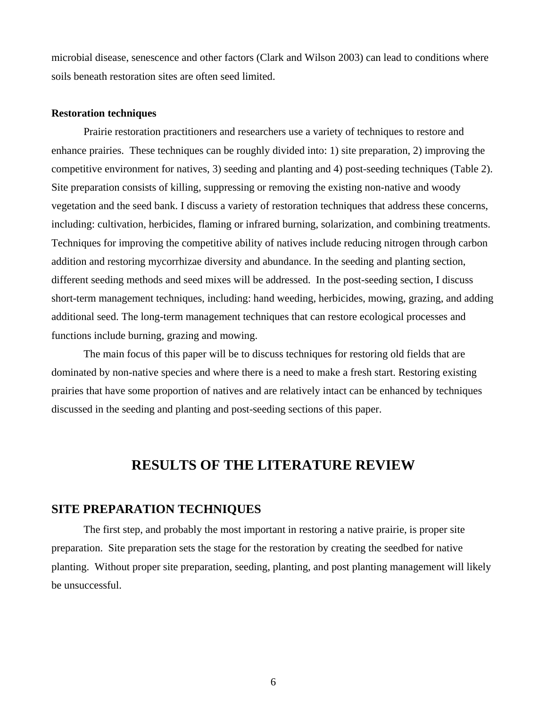microbial disease, senescence and other factors (Clark and Wilson 2003) can lead to conditions where soils beneath restoration sites are often seed limited.

#### **Restoration techniques**

Prairie restoration practitioners and researchers use a variety of techniques to restore and enhance prairies. These techniques can be roughly divided into: 1) site preparation, 2) improving the competitive environment for natives, 3) seeding and planting and 4) post-seeding techniques (Table 2). Site preparation consists of killing, suppressing or removing the existing non-native and woody vegetation and the seed bank. I discuss a variety of restoration techniques that address these concerns, including: cultivation, herbicides, flaming or infrared burning, solarization, and combining treatments. Techniques for improving the competitive ability of natives include reducing nitrogen through carbon addition and restoring mycorrhizae diversity and abundance. In the seeding and planting section, different seeding methods and seed mixes will be addressed. In the post-seeding section, I discuss short-term management techniques, including: hand weeding, herbicides, mowing, grazing, and adding additional seed. The long-term management techniques that can restore ecological processes and functions include burning, grazing and mowing.

The main focus of this paper will be to discuss techniques for restoring old fields that are dominated by non-native species and where there is a need to make a fresh start. Restoring existing prairies that have some proportion of natives and are relatively intact can be enhanced by techniques discussed in the seeding and planting and post-seeding sections of this paper.

## **RESULTS OF THE LITERATURE REVIEW**

## **SITE PREPARATION TECHNIQUES**

The first step, and probably the most important in restoring a native prairie, is proper site preparation. Site preparation sets the stage for the restoration by creating the seedbed for native planting. Without proper site preparation, seeding, planting, and post planting management will likely be unsuccessful.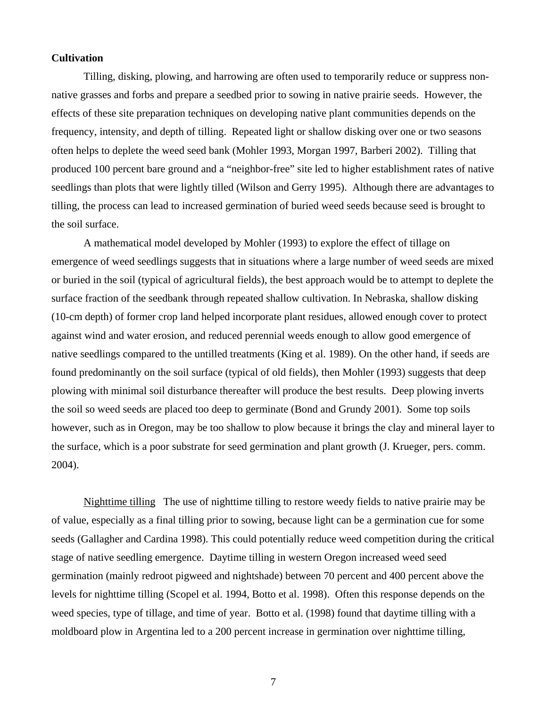#### **Cultivation**

Tilling, disking, plowing, and harrowing are often used to temporarily reduce or suppress nonnative grasses and forbs and prepare a seedbed prior to sowing in native prairie seeds. However, the effects of these site preparation techniques on developing native plant communities depends on the frequency, intensity, and depth of tilling. Repeated light or shallow disking over one or two seasons often helps to deplete the weed seed bank (Mohler 1993, Morgan 1997, Barberi 2002). Tilling that produced 100 percent bare ground and a "neighbor-free" site led to higher establishment rates of native seedlings than plots that were lightly tilled (Wilson and Gerry 1995). Although there are advantages to tilling, the process can lead to increased germination of buried weed seeds because seed is brought to the soil surface.

A mathematical model developed by Mohler (1993) to explore the effect of tillage on emergence of weed seedlings suggests that in situations where a large number of weed seeds are mixed or buried in the soil (typical of agricultural fields), the best approach would be to attempt to deplete the surface fraction of the seedbank through repeated shallow cultivation. In Nebraska, shallow disking (10-cm depth) of former crop land helped incorporate plant residues, allowed enough cover to protect against wind and water erosion, and reduced perennial weeds enough to allow good emergence of native seedlings compared to the untilled treatments (King et al. 1989). On the other hand, if seeds are found predominantly on the soil surface (typical of old fields), then Mohler (1993) suggests that deep plowing with minimal soil disturbance thereafter will produce the best results. Deep plowing inverts the soil so weed seeds are placed too deep to germinate (Bond and Grundy 2001). Some top soils however, such as in Oregon, may be too shallow to plow because it brings the clay and mineral layer to the surface, which is a poor substrate for seed germination and plant growth (J. Krueger, pers. comm. 2004).

Nighttime tilling The use of nighttime tilling to restore weedy fields to native prairie may be of value, especially as a final tilling prior to sowing, because light can be a germination cue for some seeds (Gallagher and Cardina 1998). This could potentially reduce weed competition during the critical stage of native seedling emergence. Daytime tilling in western Oregon increased weed seed germination (mainly redroot pigweed and nightshade) between 70 percent and 400 percent above the levels for nighttime tilling (Scopel et al. 1994, Botto et al. 1998). Often this response depends on the weed species, type of tillage, and time of year. Botto et al. (1998) found that daytime tilling with a moldboard plow in Argentina led to a 200 percent increase in germination over nighttime tilling,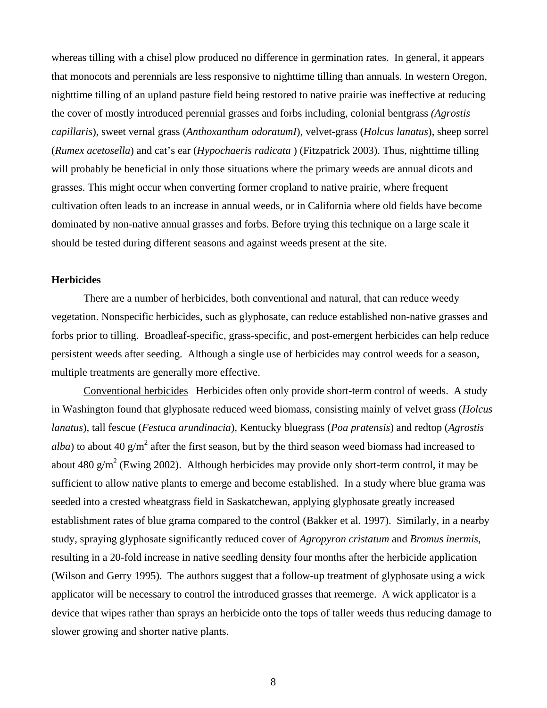whereas tilling with a chisel plow produced no difference in germination rates. In general, it appears that monocots and perennials are less responsive to nighttime tilling than annuals. In western Oregon, nighttime tilling of an upland pasture field being restored to native prairie was ineffective at reducing the cover of mostly introduced perennial grasses and forbs including, colonial bentgrass *(Agrostis capillaris*), sweet vernal grass (*Anthoxanthum odoratumI*), velvet-grass (*Holcus lanatus*), sheep sorrel (*Rumex acetosella*) and cat's ear (*Hypochaeris radicata* ) (Fitzpatrick 2003). Thus, nighttime tilling will probably be beneficial in only those situations where the primary weeds are annual dicots and grasses. This might occur when converting former cropland to native prairie, where frequent cultivation often leads to an increase in annual weeds, or in California where old fields have become dominated by non-native annual grasses and forbs. Before trying this technique on a large scale it should be tested during different seasons and against weeds present at the site.

## **Herbicides**

There are a number of herbicides, both conventional and natural, that can reduce weedy vegetation. Nonspecific herbicides, such as glyphosate, can reduce established non-native grasses and forbs prior to tilling. Broadleaf-specific, grass-specific, and post-emergent herbicides can help reduce persistent weeds after seeding. Although a single use of herbicides may control weeds for a season, multiple treatments are generally more effective.

Conventional herbicides Herbicides often only provide short-term control of weeds. A study in Washington found that glyphosate reduced weed biomass, consisting mainly of velvet grass (*Holcus lanatus*), tall fescue (*Festuca arundinacia*), Kentucky bluegrass (*Poa pratensis*) and redtop (*Agrostis alba*) to about 40  $g/m^2$  after the first season, but by the third season weed biomass had increased to about 480  $g/m^2$  (Ewing 2002). Although herbicides may provide only short-term control, it may be sufficient to allow native plants to emerge and become established. In a study where blue grama was seeded into a crested wheatgrass field in Saskatchewan, applying glyphosate greatly increased establishment rates of blue grama compared to the control (Bakker et al. 1997). Similarly, in a nearby study, spraying glyphosate significantly reduced cover of *Agropyron cristatum* and *Bromus inermis*, resulting in a 20-fold increase in native seedling density four months after the herbicide application (Wilson and Gerry 1995). The authors suggest that a follow-up treatment of glyphosate using a wick applicator will be necessary to control the introduced grasses that reemerge. A wick applicator is a device that wipes rather than sprays an herbicide onto the tops of taller weeds thus reducing damage to slower growing and shorter native plants.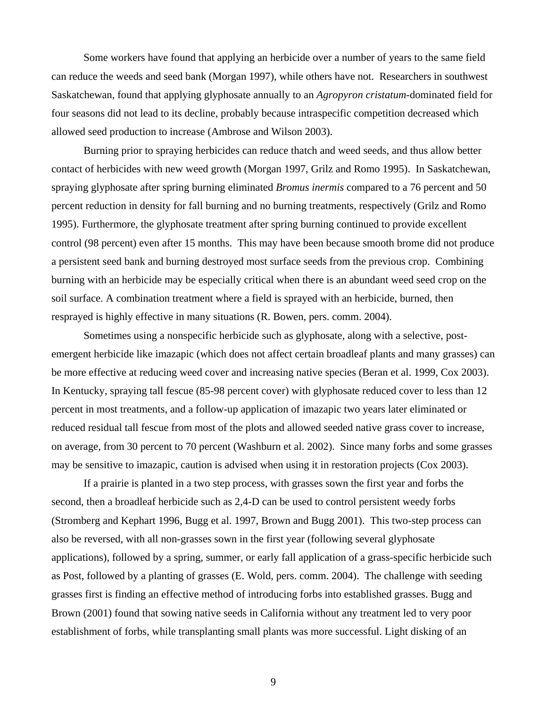Some workers have found that applying an herbicide over a number of years to the same field can reduce the weeds and seed bank (Morgan 1997), while others have not. Researchers in southwest Saskatchewan, found that applying glyphosate annually to an *Agropyron cristatum*-dominated field for four seasons did not lead to its decline, probably because intraspecific competition decreased which allowed seed production to increase (Ambrose and Wilson 2003).

Burning prior to spraying herbicides can reduce thatch and weed seeds, and thus allow better contact of herbicides with new weed growth (Morgan 1997, Grilz and Romo 1995). In Saskatchewan, spraying glyphosate after spring burning eliminated *Bromus inermis* compared to a 76 percent and 50 percent reduction in density for fall burning and no burning treatments, respectively (Grilz and Romo 1995). Furthermore, the glyphosate treatment after spring burning continued to provide excellent control (98 percent) even after 15 months. This may have been because smooth brome did not produce a persistent seed bank and burning destroyed most surface seeds from the previous crop. Combining burning with an herbicide may be especially critical when there is an abundant weed seed crop on the soil surface. A combination treatment where a field is sprayed with an herbicide, burned, then resprayed is highly effective in many situations (R. Bowen, pers. comm. 2004).

Sometimes using a nonspecific herbicide such as glyphosate, along with a selective, postemergent herbicide like imazapic (which does not affect certain broadleaf plants and many grasses) can be more effective at reducing weed cover and increasing native species (Beran et al. 1999, Cox 2003). In Kentucky, spraying tall fescue (85-98 percent cover) with glyphosate reduced cover to less than 12 percent in most treatments, and a follow-up application of imazapic two years later eliminated or reduced residual tall fescue from most of the plots and allowed seeded native grass cover to increase, on average, from 30 percent to 70 percent (Washburn et al. 2002). Since many forbs and some grasses may be sensitive to imazapic, caution is advised when using it in restoration projects (Cox 2003).

If a prairie is planted in a two step process, with grasses sown the first year and forbs the second, then a broadleaf herbicide such as 2,4-D can be used to control persistent weedy forbs (Stromberg and Kephart 1996, Bugg et al. 1997, Brown and Bugg 2001). This two-step process can also be reversed, with all non-grasses sown in the first year (following several glyphosate applications), followed by a spring, summer, or early fall application of a grass-specific herbicide such as Post, followed by a planting of grasses (E. Wold, pers. comm. 2004). The challenge with seeding grasses first is finding an effective method of introducing forbs into established grasses. Bugg and Brown (2001) found that sowing native seeds in California without any treatment led to very poor establishment of forbs, while transplanting small plants was more successful. Light disking of an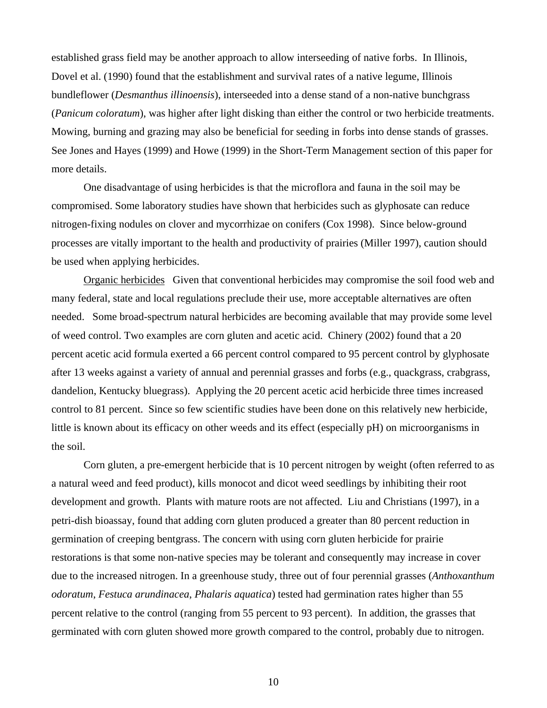established grass field may be another approach to allow interseeding of native forbs. In Illinois, Dovel et al. (1990) found that the establishment and survival rates of a native legume, Illinois bundleflower (*Desmanthus illinoensis*), interseeded into a dense stand of a non-native bunchgrass (*Panicum coloratum*), was higher after light disking than either the control or two herbicide treatments. Mowing, burning and grazing may also be beneficial for seeding in forbs into dense stands of grasses. See Jones and Hayes (1999) and Howe (1999) in the Short-Term Management section of this paper for more details.

One disadvantage of using herbicides is that the microflora and fauna in the soil may be compromised. Some laboratory studies have shown that herbicides such as glyphosate can reduce nitrogen-fixing nodules on clover and mycorrhizae on conifers (Cox 1998). Since below-ground processes are vitally important to the health and productivity of prairies (Miller 1997), caution should be used when applying herbicides.

Organic herbicides Given that conventional herbicides may compromise the soil food web and many federal, state and local regulations preclude their use, more acceptable alternatives are often needed. Some broad-spectrum natural herbicides are becoming available that may provide some level of weed control. Two examples are corn gluten and acetic acid. Chinery (2002) found that a 20 percent acetic acid formula exerted a 66 percent control compared to 95 percent control by glyphosate after 13 weeks against a variety of annual and perennial grasses and forbs (e.g., quackgrass, crabgrass, dandelion, Kentucky bluegrass). Applying the 20 percent acetic acid herbicide three times increased control to 81 percent. Since so few scientific studies have been done on this relatively new herbicide, little is known about its efficacy on other weeds and its effect (especially pH) on microorganisms in the soil.

Corn gluten, a pre-emergent herbicide that is 10 percent nitrogen by weight (often referred to as a natural weed and feed product), kills monocot and dicot weed seedlings by inhibiting their root development and growth. Plants with mature roots are not affected. Liu and Christians (1997), in a petri-dish bioassay, found that adding corn gluten produced a greater than 80 percent reduction in germination of creeping bentgrass. The concern with using corn gluten herbicide for prairie restorations is that some non-native species may be tolerant and consequently may increase in cover due to the increased nitrogen. In a greenhouse study, three out of four perennial grasses (*Anthoxanthum odoratum*, *Festuca arundinacea*, *Phalaris aquatica*) tested had germination rates higher than 55 percent relative to the control (ranging from 55 percent to 93 percent). In addition, the grasses that germinated with corn gluten showed more growth compared to the control, probably due to nitrogen.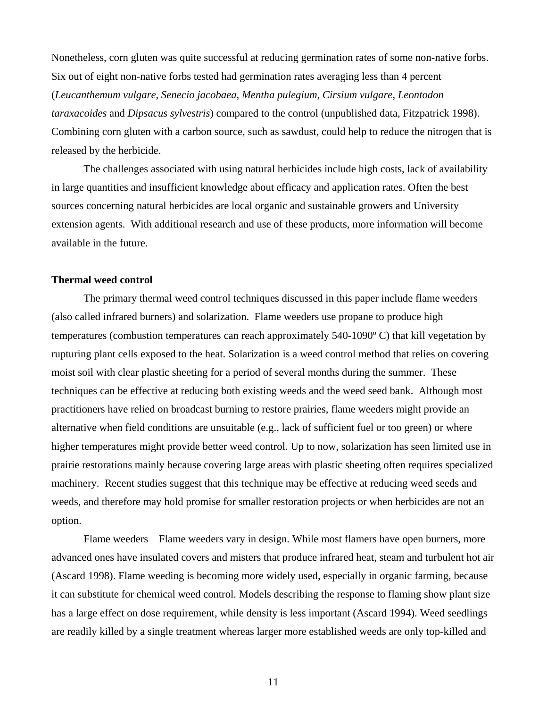Nonetheless, corn gluten was quite successful at reducing germination rates of some non-native forbs. Six out of eight non-native forbs tested had germination rates averaging less than 4 percent (*Leucanthemum vulgare*, *Senecio jacobaea*, *Mentha pulegium*, *Cirsium vulgare*, *Leontodon taraxacoides* and *Dipsacus sylvestris*) compared to the control (unpublished data, Fitzpatrick 1998). Combining corn gluten with a carbon source, such as sawdust, could help to reduce the nitrogen that is released by the herbicide.

The challenges associated with using natural herbicides include high costs, lack of availability in large quantities and insufficient knowledge about efficacy and application rates. Often the best sources concerning natural herbicides are local organic and sustainable growers and University extension agents. With additional research and use of these products, more information will become available in the future.

#### **Thermal weed control**

The primary thermal weed control techniques discussed in this paper include flame weeders (also called infrared burners) and solarization. Flame weeders use propane to produce high temperatures (combustion temperatures can reach approximately 540-1090º C) that kill vegetation by rupturing plant cells exposed to the heat. Solarization is a weed control method that relies on covering moist soil with clear plastic sheeting for a period of several months during the summer. These techniques can be effective at reducing both existing weeds and the weed seed bank. Although most practitioners have relied on broadcast burning to restore prairies, flame weeders might provide an alternative when field conditions are unsuitable (e.g., lack of sufficient fuel or too green) or where higher temperatures might provide better weed control. Up to now, solarization has seen limited use in prairie restorations mainly because covering large areas with plastic sheeting often requires specialized machinery. Recent studies suggest that this technique may be effective at reducing weed seeds and weeds, and therefore may hold promise for smaller restoration projects or when herbicides are not an option.

Flame weeders Flame weeders vary in design. While most flamers have open burners, more advanced ones have insulated covers and misters that produce infrared heat, steam and turbulent hot air (Ascard 1998). Flame weeding is becoming more widely used, especially in organic farming, because it can substitute for chemical weed control. Models describing the response to flaming show plant size has a large effect on dose requirement, while density is less important (Ascard 1994). Weed seedlings are readily killed by a single treatment whereas larger more established weeds are only top-killed and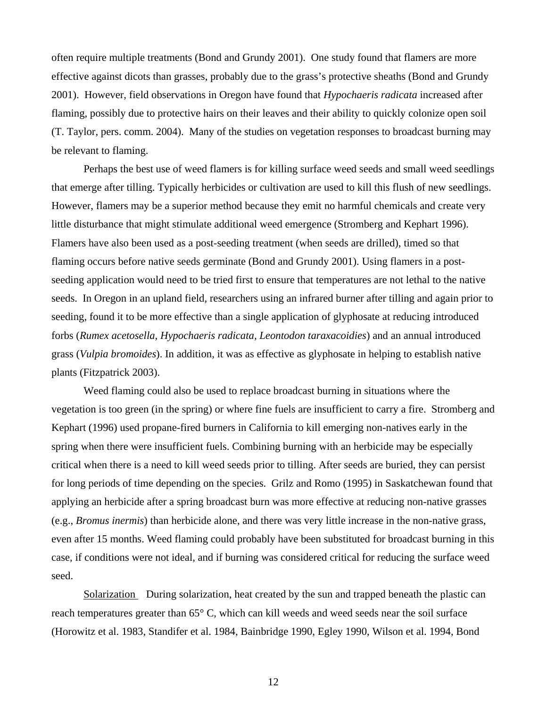often require multiple treatments (Bond and Grundy 2001). One study found that flamers are more effective against dicots than grasses, probably due to the grass's protective sheaths (Bond and Grundy 2001). However, field observations in Oregon have found that *Hypochaeris radicata* increased after flaming, possibly due to protective hairs on their leaves and their ability to quickly colonize open soil (T. Taylor, pers. comm. 2004). Many of the studies on vegetation responses to broadcast burning may be relevant to flaming.

Perhaps the best use of weed flamers is for killing surface weed seeds and small weed seedlings that emerge after tilling. Typically herbicides or cultivation are used to kill this flush of new seedlings. However, flamers may be a superior method because they emit no harmful chemicals and create very little disturbance that might stimulate additional weed emergence (Stromberg and Kephart 1996). Flamers have also been used as a post-seeding treatment (when seeds are drilled), timed so that flaming occurs before native seeds germinate (Bond and Grundy 2001). Using flamers in a postseeding application would need to be tried first to ensure that temperatures are not lethal to the native seeds. In Oregon in an upland field, researchers using an infrared burner after tilling and again prior to seeding, found it to be more effective than a single application of glyphosate at reducing introduced forbs (*Rumex acetosella, Hypochaeris radicata, Leontodon taraxacoidies*) and an annual introduced grass (*Vulpia bromoides*). In addition, it was as effective as glyphosate in helping to establish native plants (Fitzpatrick 2003).

Weed flaming could also be used to replace broadcast burning in situations where the vegetation is too green (in the spring) or where fine fuels are insufficient to carry a fire. Stromberg and Kephart (1996) used propane-fired burners in California to kill emerging non-natives early in the spring when there were insufficient fuels. Combining burning with an herbicide may be especially critical when there is a need to kill weed seeds prior to tilling. After seeds are buried, they can persist for long periods of time depending on the species. Grilz and Romo (1995) in Saskatchewan found that applying an herbicide after a spring broadcast burn was more effective at reducing non-native grasses (e.g., *Bromus inermis*) than herbicide alone, and there was very little increase in the non-native grass, even after 15 months. Weed flaming could probably have been substituted for broadcast burning in this case, if conditions were not ideal, and if burning was considered critical for reducing the surface weed seed.

Solarization During solarization, heat created by the sun and trapped beneath the plastic can reach temperatures greater than 65° C, which can kill weeds and weed seeds near the soil surface (Horowitz et al. 1983, Standifer et al. 1984, Bainbridge 1990, Egley 1990, Wilson et al. 1994, Bond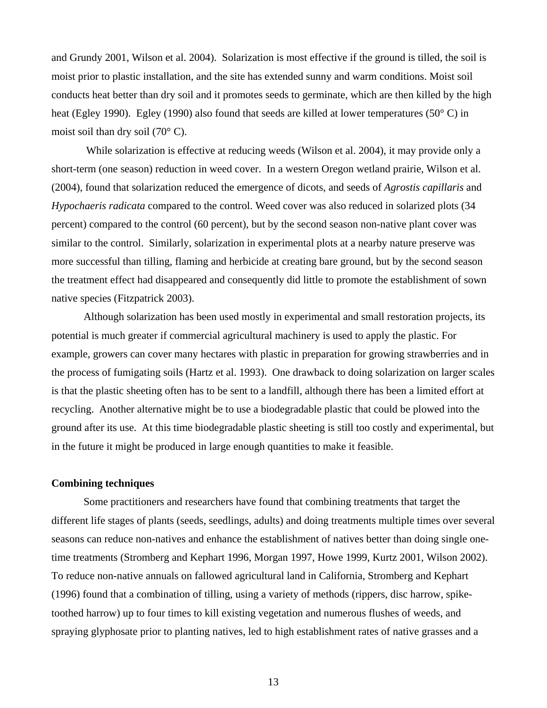and Grundy 2001, Wilson et al. 2004). Solarization is most effective if the ground is tilled, the soil is moist prior to plastic installation, and the site has extended sunny and warm conditions. Moist soil conducts heat better than dry soil and it promotes seeds to germinate, which are then killed by the high heat (Egley 1990). Egley (1990) also found that seeds are killed at lower temperatures (50° C) in moist soil than dry soil (70° C).

 While solarization is effective at reducing weeds (Wilson et al. 2004), it may provide only a short-term (one season) reduction in weed cover. In a western Oregon wetland prairie, Wilson et al. (2004), found that solarization reduced the emergence of dicots, and seeds of *Agrostis capillaris* and *Hypochaeris radicata* compared to the control. Weed cover was also reduced in solarized plots (34 percent) compared to the control (60 percent), but by the second season non-native plant cover was similar to the control. Similarly, solarization in experimental plots at a nearby nature preserve was more successful than tilling, flaming and herbicide at creating bare ground, but by the second season the treatment effect had disappeared and consequently did little to promote the establishment of sown native species (Fitzpatrick 2003).

Although solarization has been used mostly in experimental and small restoration projects, its potential is much greater if commercial agricultural machinery is used to apply the plastic. For example, growers can cover many hectares with plastic in preparation for growing strawberries and in the process of fumigating soils (Hartz et al. 1993). One drawback to doing solarization on larger scales is that the plastic sheeting often has to be sent to a landfill, although there has been a limited effort at recycling. Another alternative might be to use a biodegradable plastic that could be plowed into the ground after its use. At this time biodegradable plastic sheeting is still too costly and experimental, but in the future it might be produced in large enough quantities to make it feasible.

#### **Combining techniques**

Some practitioners and researchers have found that combining treatments that target the different life stages of plants (seeds, seedlings, adults) and doing treatments multiple times over several seasons can reduce non-natives and enhance the establishment of natives better than doing single onetime treatments (Stromberg and Kephart 1996, Morgan 1997, Howe 1999, Kurtz 2001, Wilson 2002). To reduce non-native annuals on fallowed agricultural land in California, Stromberg and Kephart (1996) found that a combination of tilling, using a variety of methods (rippers, disc harrow, spiketoothed harrow) up to four times to kill existing vegetation and numerous flushes of weeds, and spraying glyphosate prior to planting natives, led to high establishment rates of native grasses and a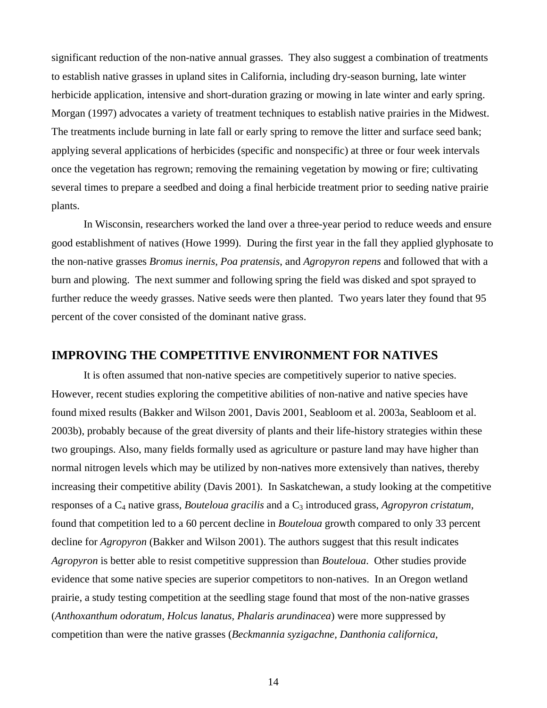significant reduction of the non-native annual grasses. They also suggest a combination of treatments to establish native grasses in upland sites in California, including dry-season burning, late winter herbicide application, intensive and short-duration grazing or mowing in late winter and early spring. Morgan (1997) advocates a variety of treatment techniques to establish native prairies in the Midwest. The treatments include burning in late fall or early spring to remove the litter and surface seed bank; applying several applications of herbicides (specific and nonspecific) at three or four week intervals once the vegetation has regrown; removing the remaining vegetation by mowing or fire; cultivating several times to prepare a seedbed and doing a final herbicide treatment prior to seeding native prairie plants.

In Wisconsin, researchers worked the land over a three-year period to reduce weeds and ensure good establishment of natives (Howe 1999). During the first year in the fall they applied glyphosate to the non-native grasses *Bromus inernis, Poa pratensis*, and *Agropyron repens* and followed that with a burn and plowing. The next summer and following spring the field was disked and spot sprayed to further reduce the weedy grasses. Native seeds were then planted. Two years later they found that 95 percent of the cover consisted of the dominant native grass.

## **IMPROVING THE COMPETITIVE ENVIRONMENT FOR NATIVES**

It is often assumed that non-native species are competitively superior to native species. However, recent studies exploring the competitive abilities of non-native and native species have found mixed results (Bakker and Wilson 2001, Davis 2001, Seabloom et al. 2003a, Seabloom et al. 2003b), probably because of the great diversity of plants and their life-history strategies within these two groupings. Also, many fields formally used as agriculture or pasture land may have higher than normal nitrogen levels which may be utilized by non-natives more extensively than natives, thereby increasing their competitive ability (Davis 2001). In Saskatchewan, a study looking at the competitive responses of a C4 native grass, *Bouteloua gracilis* and a C3 introduced grass, *Agropyron cristatum,* found that competition led to a 60 percent decline in *Bouteloua* growth compared to only 33 percent decline for *Agropyron* (Bakker and Wilson 2001). The authors suggest that this result indicates *Agropyron* is better able to resist competitive suppression than *Bouteloua*. Other studies provide evidence that some native species are superior competitors to non-natives. In an Oregon wetland prairie, a study testing competition at the seedling stage found that most of the non-native grasses (*Anthoxanthum odoratum, Holcus lanatus, Phalaris arundinacea*) were more suppressed by competition than were the native grasses (*Beckmannia syzigachne, Danthonia californica,*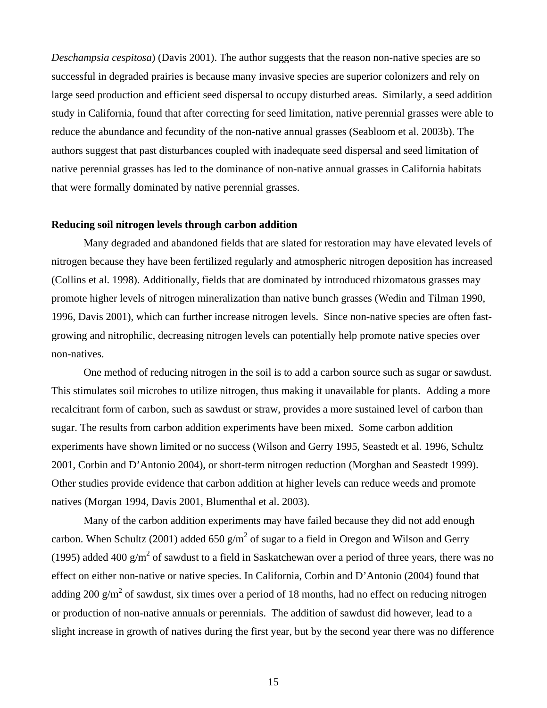*Deschampsia cespitosa*) (Davis 2001). The author suggests that the reason non-native species are so successful in degraded prairies is because many invasive species are superior colonizers and rely on large seed production and efficient seed dispersal to occupy disturbed areas. Similarly, a seed addition study in California, found that after correcting for seed limitation, native perennial grasses were able to reduce the abundance and fecundity of the non-native annual grasses (Seabloom et al. 2003b). The authors suggest that past disturbances coupled with inadequate seed dispersal and seed limitation of native perennial grasses has led to the dominance of non-native annual grasses in California habitats that were formally dominated by native perennial grasses.

#### **Reducing soil nitrogen levels through carbon addition**

Many degraded and abandoned fields that are slated for restoration may have elevated levels of nitrogen because they have been fertilized regularly and atmospheric nitrogen deposition has increased (Collins et al. 1998). Additionally, fields that are dominated by introduced rhizomatous grasses may promote higher levels of nitrogen mineralization than native bunch grasses (Wedin and Tilman 1990, 1996, Davis 2001), which can further increase nitrogen levels. Since non-native species are often fastgrowing and nitrophilic, decreasing nitrogen levels can potentially help promote native species over non-natives.

One method of reducing nitrogen in the soil is to add a carbon source such as sugar or sawdust. This stimulates soil microbes to utilize nitrogen, thus making it unavailable for plants. Adding a more recalcitrant form of carbon, such as sawdust or straw, provides a more sustained level of carbon than sugar. The results from carbon addition experiments have been mixed. Some carbon addition experiments have shown limited or no success (Wilson and Gerry 1995, Seastedt et al. 1996, Schultz 2001, Corbin and D'Antonio 2004), or short-term nitrogen reduction (Morghan and Seastedt 1999). Other studies provide evidence that carbon addition at higher levels can reduce weeds and promote natives (Morgan 1994, Davis 2001, Blumenthal et al. 2003).

Many of the carbon addition experiments may have failed because they did not add enough carbon. When Schultz (2001) added 650  $g/m^2$  of sugar to a field in Oregon and Wilson and Gerry (1995) added 400  $g/m^2$  of sawdust to a field in Saskatchewan over a period of three years, there was no effect on either non-native or native species. In California, Corbin and D'Antonio (2004) found that adding 200 g/m<sup>2</sup> of sawdust, six times over a period of 18 months, had no effect on reducing nitrogen or production of non-native annuals or perennials. The addition of sawdust did however, lead to a slight increase in growth of natives during the first year, but by the second year there was no difference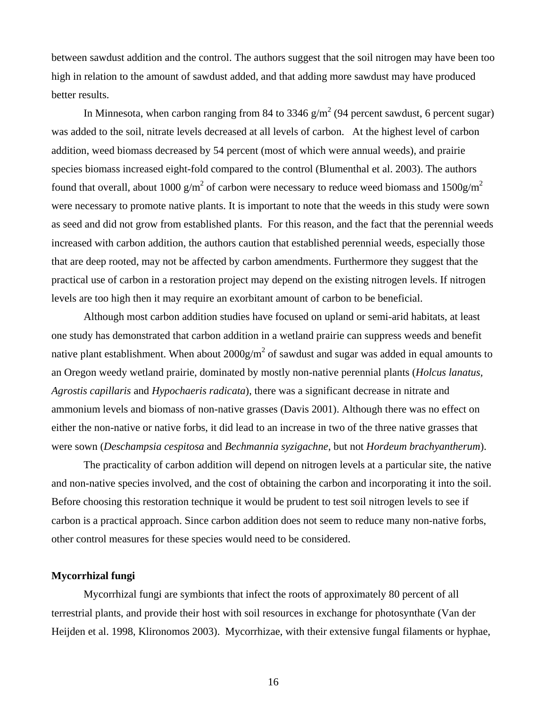between sawdust addition and the control. The authors suggest that the soil nitrogen may have been too high in relation to the amount of sawdust added, and that adding more sawdust may have produced better results.

In Minnesota, when carbon ranging from 84 to 3346  $g/m^2$  (94 percent sawdust, 6 percent sugar) was added to the soil, nitrate levels decreased at all levels of carbon. At the highest level of carbon addition, weed biomass decreased by 54 percent (most of which were annual weeds), and prairie species biomass increased eight-fold compared to the control (Blumenthal et al. 2003). The authors found that overall, about 1000 g/m<sup>2</sup> of carbon were necessary to reduce weed biomass and 1500g/m<sup>2</sup> were necessary to promote native plants. It is important to note that the weeds in this study were sown as seed and did not grow from established plants. For this reason, and the fact that the perennial weeds increased with carbon addition, the authors caution that established perennial weeds, especially those that are deep rooted, may not be affected by carbon amendments. Furthermore they suggest that the practical use of carbon in a restoration project may depend on the existing nitrogen levels. If nitrogen levels are too high then it may require an exorbitant amount of carbon to be beneficial.

Although most carbon addition studies have focused on upland or semi-arid habitats, at least one study has demonstrated that carbon addition in a wetland prairie can suppress weeds and benefit native plant establishment. When about  $2000g/m^2$  of sawdust and sugar was added in equal amounts to an Oregon weedy wetland prairie, dominated by mostly non-native perennial plants (*Holcus lanatus, Agrostis capillaris* and *Hypochaeris radicata*), there was a significant decrease in nitrate and ammonium levels and biomass of non-native grasses (Davis 2001). Although there was no effect on either the non-native or native forbs, it did lead to an increase in two of the three native grasses that were sown (*Deschampsia cespitosa* and *Bechmannia syzigachne*, but not *Hordeum brachyantherum*).

The practicality of carbon addition will depend on nitrogen levels at a particular site, the native and non-native species involved, and the cost of obtaining the carbon and incorporating it into the soil. Before choosing this restoration technique it would be prudent to test soil nitrogen levels to see if carbon is a practical approach. Since carbon addition does not seem to reduce many non-native forbs, other control measures for these species would need to be considered.

#### **Mycorrhizal fungi**

Mycorrhizal fungi are symbionts that infect the roots of approximately 80 percent of all terrestrial plants, and provide their host with soil resources in exchange for photosynthate (Van der Heijden et al. 1998, Klironomos 2003).Mycorrhizae, with their extensive fungal filaments or hyphae,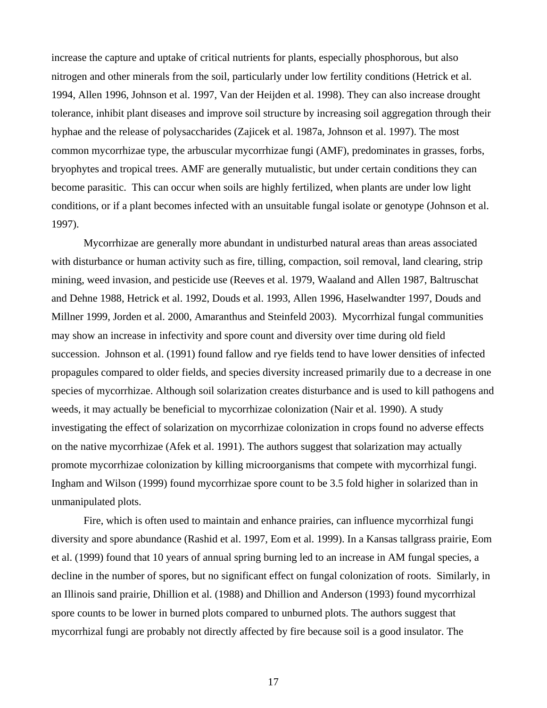increase the capture and uptake of critical nutrients for plants, especially phosphorous, but also nitrogen and other minerals from the soil, particularly under low fertility conditions (Hetrick et al. 1994, Allen 1996, Johnson et al. 1997, Van der Heijden et al. 1998). They can also increase drought tolerance, inhibit plant diseases and improve soil structure by increasing soil aggregation through their hyphae and the release of polysaccharides (Zajicek et al. 1987a, Johnson et al. 1997). The most common mycorrhizae type, the arbuscular mycorrhizae fungi (AMF), predominates in grasses, forbs, bryophytes and tropical trees. AMF are generally mutualistic, but under certain conditions they can become parasitic. This can occur when soils are highly fertilized, when plants are under low light conditions, or if a plant becomes infected with an unsuitable fungal isolate or genotype (Johnson et al. 1997).

Mycorrhizae are generally more abundant in undisturbed natural areas than areas associated with disturbance or human activity such as fire, tilling, compaction, soil removal, land clearing, strip mining, weed invasion, and pesticide use (Reeves et al. 1979, Waaland and Allen 1987, Baltruschat and Dehne 1988, Hetrick et al. 1992, Douds et al. 1993, Allen 1996, Haselwandter 1997, Douds and Millner 1999, Jorden et al. 2000, Amaranthus and Steinfeld 2003). Mycorrhizal fungal communities may show an increase in infectivity and spore count and diversity over time during old field succession. Johnson et al. (1991) found fallow and rye fields tend to have lower densities of infected propagules compared to older fields, and species diversity increased primarily due to a decrease in one species of mycorrhizae. Although soil solarization creates disturbance and is used to kill pathogens and weeds, it may actually be beneficial to mycorrhizae colonization (Nair et al. 1990). A study investigating the effect of solarization on mycorrhizae colonization in crops found no adverse effects on the native mycorrhizae (Afek et al. 1991). The authors suggest that solarization may actually promote mycorrhizae colonization by killing microorganisms that compete with mycorrhizal fungi. Ingham and Wilson (1999) found mycorrhizae spore count to be 3.5 fold higher in solarized than in unmanipulated plots.

Fire, which is often used to maintain and enhance prairies, can influence mycorrhizal fungi diversity and spore abundance (Rashid et al. 1997, Eom et al. 1999). In a Kansas tallgrass prairie, Eom et al. (1999) found that 10 years of annual spring burning led to an increase in AM fungal species, a decline in the number of spores, but no significant effect on fungal colonization of roots. Similarly, in an Illinois sand prairie, Dhillion et al. (1988) and Dhillion and Anderson (1993) found mycorrhizal spore counts to be lower in burned plots compared to unburned plots. The authors suggest that mycorrhizal fungi are probably not directly affected by fire because soil is a good insulator. The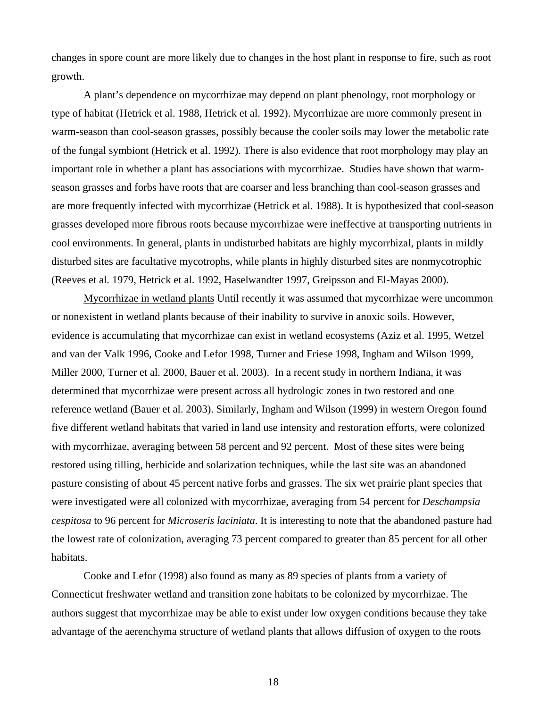changes in spore count are more likely due to changes in the host plant in response to fire, such as root growth.

A plant's dependence on mycorrhizae may depend on plant phenology, root morphology or type of habitat (Hetrick et al. 1988, Hetrick et al. 1992). Mycorrhizae are more commonly present in warm-season than cool-season grasses, possibly because the cooler soils may lower the metabolic rate of the fungal symbiont (Hetrick et al. 1992). There is also evidence that root morphology may play an important role in whether a plant has associations with mycorrhizae. Studies have shown that warmseason grasses and forbs have roots that are coarser and less branching than cool-season grasses and are more frequently infected with mycorrhizae (Hetrick et al. 1988). It is hypothesized that cool-season grasses developed more fibrous roots because mycorrhizae were ineffective at transporting nutrients in cool environments. In general, plants in undisturbed habitats are highly mycorrhizal, plants in mildly disturbed sites are facultative mycotrophs, while plants in highly disturbed sites are nonmycotrophic (Reeves et al. 1979, Hetrick et al. 1992, Haselwandter 1997, Greipsson and El-Mayas 2000).

Mycorrhizae in wetland plants Until recently it was assumed that mycorrhizae were uncommon or nonexistent in wetland plants because of their inability to survive in anoxic soils. However, evidence is accumulating that mycorrhizae can exist in wetland ecosystems (Aziz et al. 1995, Wetzel and van der Valk 1996, Cooke and Lefor 1998, Turner and Friese 1998, Ingham and Wilson 1999, Miller 2000, Turner et al. 2000, Bauer et al. 2003). In a recent study in northern Indiana, it was determined that mycorrhizae were present across all hydrologic zones in two restored and one reference wetland (Bauer et al. 2003). Similarly, Ingham and Wilson (1999) in western Oregon found five different wetland habitats that varied in land use intensity and restoration efforts, were colonized with mycorrhizae, averaging between 58 percent and 92 percent. Most of these sites were being restored using tilling, herbicide and solarization techniques, while the last site was an abandoned pasture consisting of about 45 percent native forbs and grasses. The six wet prairie plant species that were investigated were all colonized with mycorrhizae, averaging from 54 percent for *Deschampsia cespitosa* to 96 percent for *Microseris laciniata*. It is interesting to note that the abandoned pasture had the lowest rate of colonization, averaging 73 percent compared to greater than 85 percent for all other habitats.

Cooke and Lefor (1998) also found as many as 89 species of plants from a variety of Connecticut freshwater wetland and transition zone habitats to be colonized by mycorrhizae. The authors suggest that mycorrhizae may be able to exist under low oxygen conditions because they take advantage of the aerenchyma structure of wetland plants that allows diffusion of oxygen to the roots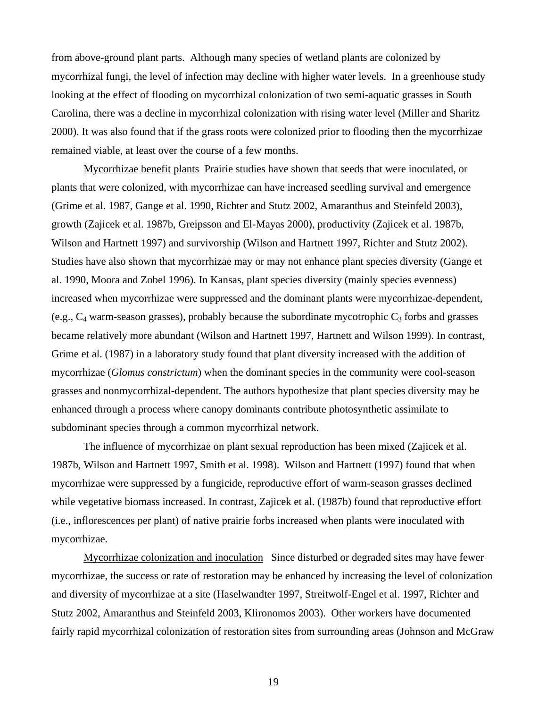from above-ground plant parts. Although many species of wetland plants are colonized by mycorrhizal fungi, the level of infection may decline with higher water levels. In a greenhouse study looking at the effect of flooding on mycorrhizal colonization of two semi-aquatic grasses in South Carolina, there was a decline in mycorrhizal colonization with rising water level (Miller and Sharitz 2000). It was also found that if the grass roots were colonized prior to flooding then the mycorrhizae remained viable, at least over the course of a few months.

Mycorrhizae benefit plants Prairie studies have shown that seeds that were inoculated, or plants that were colonized, with mycorrhizae can have increased seedling survival and emergence (Grime et al. 1987, Gange et al. 1990, Richter and Stutz 2002, Amaranthus and Steinfeld 2003), growth (Zajicek et al. 1987b, Greipsson and El-Mayas 2000), productivity (Zajicek et al. 1987b, Wilson and Hartnett 1997) and survivorship (Wilson and Hartnett 1997, Richter and Stutz 2002). Studies have also shown that mycorrhizae may or may not enhance plant species diversity (Gange et al. 1990, Moora and Zobel 1996). In Kansas, plant species diversity (mainly species evenness) increased when mycorrhizae were suppressed and the dominant plants were mycorrhizae-dependent, (e.g.,  $C_4$  warm-season grasses), probably because the subordinate mycotrophic  $C_3$  forbs and grasses became relatively more abundant (Wilson and Hartnett 1997, Hartnett and Wilson 1999). In contrast, Grime et al. (1987) in a laboratory study found that plant diversity increased with the addition of mycorrhizae (*Glomus constrictum*) when the dominant species in the community were cool-season grasses and nonmycorrhizal-dependent. The authors hypothesize that plant species diversity may be enhanced through a process where canopy dominants contribute photosynthetic assimilate to subdominant species through a common mycorrhizal network.

The influence of mycorrhizae on plant sexual reproduction has been mixed (Zajicek et al. 1987b, Wilson and Hartnett 1997, Smith et al. 1998). Wilson and Hartnett (1997) found that when mycorrhizae were suppressed by a fungicide, reproductive effort of warm-season grasses declined while vegetative biomass increased. In contrast, Zajicek et al. (1987b) found that reproductive effort (i.e., inflorescences per plant) of native prairie forbs increased when plants were inoculated with mycorrhizae.

Mycorrhizae colonization and inoculation Since disturbed or degraded sites may have fewer mycorrhizae, the success or rate of restoration may be enhanced by increasing the level of colonization and diversity of mycorrhizae at a site (Haselwandter 1997, Streitwolf-Engel et al. 1997, Richter and Stutz 2002, Amaranthus and Steinfeld 2003, Klironomos 2003). Other workers have documented fairly rapid mycorrhizal colonization of restoration sites from surrounding areas (Johnson and McGraw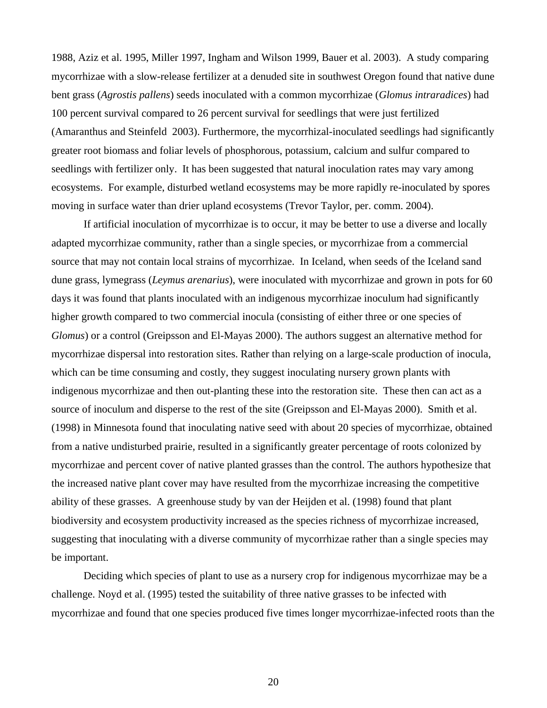1988, Aziz et al. 1995, Miller 1997, Ingham and Wilson 1999, Bauer et al. 2003). A study comparing mycorrhizae with a slow-release fertilizer at a denuded site in southwest Oregon found that native dune bent grass (*Agrostis pallens*) seeds inoculated with a common mycorrhizae (*Glomus intraradices*) had 100 percent survival compared to 26 percent survival for seedlings that were just fertilized (Amaranthus and Steinfeld 2003). Furthermore, the mycorrhizal-inoculated seedlings had significantly greater root biomass and foliar levels of phosphorous, potassium, calcium and sulfur compared to seedlings with fertilizer only. It has been suggested that natural inoculation rates may vary among ecosystems. For example, disturbed wetland ecosystems may be more rapidly re-inoculated by spores moving in surface water than drier upland ecosystems (Trevor Taylor, per. comm. 2004).

If artificial inoculation of mycorrhizae is to occur, it may be better to use a diverse and locally adapted mycorrhizae community, rather than a single species, or mycorrhizae from a commercial source that may not contain local strains of mycorrhizae. In Iceland, when seeds of the Iceland sand dune grass, lymegrass (*Leymus arenarius*), were inoculated with mycorrhizae and grown in pots for 60 days it was found that plants inoculated with an indigenous mycorrhizae inoculum had significantly higher growth compared to two commercial inocula (consisting of either three or one species of *Glomus*) or a control (Greipsson and El-Mayas 2000). The authors suggest an alternative method for mycorrhizae dispersal into restoration sites. Rather than relying on a large-scale production of inocula, which can be time consuming and costly, they suggest inoculating nursery grown plants with indigenous mycorrhizae and then out-planting these into the restoration site. These then can act as a source of inoculum and disperse to the rest of the site (Greipsson and El-Mayas 2000). Smith et al. (1998) in Minnesota found that inoculating native seed with about 20 species of mycorrhizae, obtained from a native undisturbed prairie, resulted in a significantly greater percentage of roots colonized by mycorrhizae and percent cover of native planted grasses than the control. The authors hypothesize that the increased native plant cover may have resulted from the mycorrhizae increasing the competitive ability of these grasses. A greenhouse study by van der Heijden et al. (1998) found that plant biodiversity and ecosystem productivity increased as the species richness of mycorrhizae increased, suggesting that inoculating with a diverse community of mycorrhizae rather than a single species may be important.

Deciding which species of plant to use as a nursery crop for indigenous mycorrhizae may be a challenge. Noyd et al. (1995) tested the suitability of three native grasses to be infected with mycorrhizae and found that one species produced five times longer mycorrhizae-infected roots than the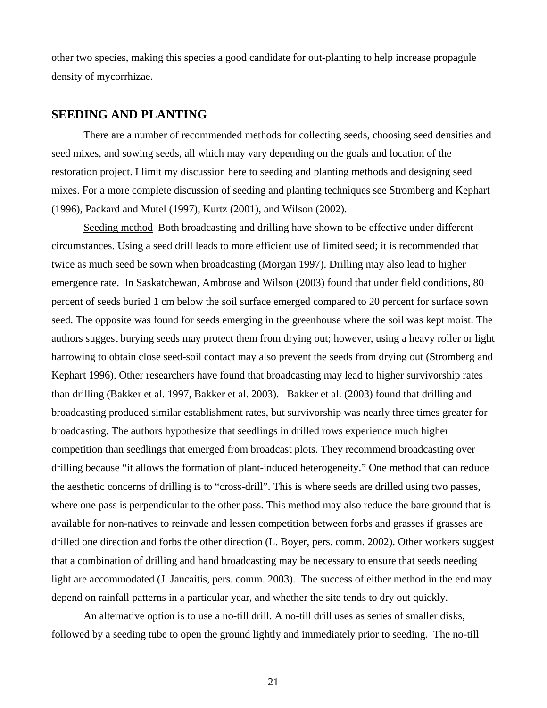other two species, making this species a good candidate for out-planting to help increase propagule density of mycorrhizae.

## **SEEDING AND PLANTING**

There are a number of recommended methods for collecting seeds, choosing seed densities and seed mixes, and sowing seeds, all which may vary depending on the goals and location of the restoration project. I limit my discussion here to seeding and planting methods and designing seed mixes. For a more complete discussion of seeding and planting techniques see Stromberg and Kephart (1996), Packard and Mutel (1997), Kurtz (2001), and Wilson (2002).

Seeding method Both broadcasting and drilling have shown to be effective under different circumstances. Using a seed drill leads to more efficient use of limited seed; it is recommended that twice as much seed be sown when broadcasting (Morgan 1997). Drilling may also lead to higher emergence rate. In Saskatchewan, Ambrose and Wilson (2003) found that under field conditions, 80 percent of seeds buried 1 cm below the soil surface emerged compared to 20 percent for surface sown seed. The opposite was found for seeds emerging in the greenhouse where the soil was kept moist. The authors suggest burying seeds may protect them from drying out; however, using a heavy roller or light harrowing to obtain close seed-soil contact may also prevent the seeds from drying out (Stromberg and Kephart 1996). Other researchers have found that broadcasting may lead to higher survivorship rates than drilling (Bakker et al. 1997, Bakker et al. 2003). Bakker et al. (2003) found that drilling and broadcasting produced similar establishment rates, but survivorship was nearly three times greater for broadcasting. The authors hypothesize that seedlings in drilled rows experience much higher competition than seedlings that emerged from broadcast plots. They recommend broadcasting over drilling because "it allows the formation of plant-induced heterogeneity." One method that can reduce the aesthetic concerns of drilling is to "cross-drill". This is where seeds are drilled using two passes, where one pass is perpendicular to the other pass. This method may also reduce the bare ground that is available for non-natives to reinvade and lessen competition between forbs and grasses if grasses are drilled one direction and forbs the other direction (L. Boyer, pers. comm. 2002). Other workers suggest that a combination of drilling and hand broadcasting may be necessary to ensure that seeds needing light are accommodated (J. Jancaitis, pers. comm. 2003). The success of either method in the end may depend on rainfall patterns in a particular year, and whether the site tends to dry out quickly.

An alternative option is to use a no-till drill. A no-till drill uses as series of smaller disks, followed by a seeding tube to open the ground lightly and immediately prior to seeding. The no-till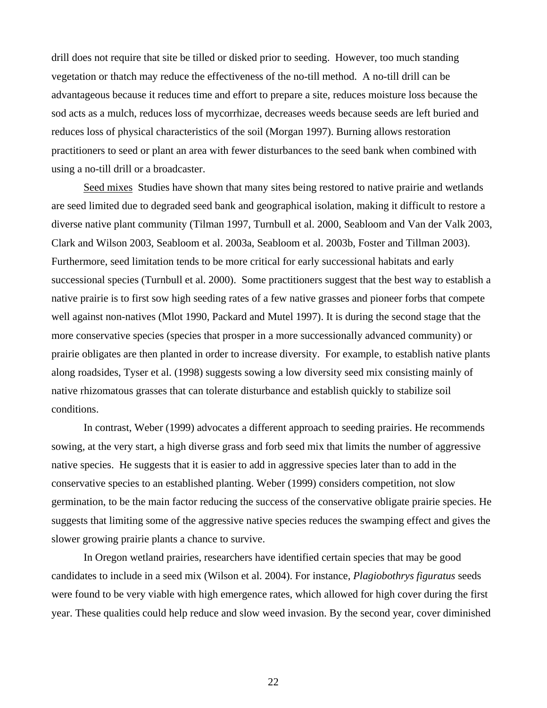drill does not require that site be tilled or disked prior to seeding. However, too much standing vegetation or thatch may reduce the effectiveness of the no-till method. A no-till drill can be advantageous because it reduces time and effort to prepare a site, reduces moisture loss because the sod acts as a mulch, reduces loss of mycorrhizae, decreases weeds because seeds are left buried and reduces loss of physical characteristics of the soil (Morgan 1997). Burning allows restoration practitioners to seed or plant an area with fewer disturbances to the seed bank when combined with using a no-till drill or a broadcaster.

Seed mixes Studies have shown that many sites being restored to native prairie and wetlands are seed limited due to degraded seed bank and geographical isolation, making it difficult to restore a diverse native plant community (Tilman 1997, Turnbull et al. 2000, Seabloom and Van der Valk 2003, Clark and Wilson 2003, Seabloom et al. 2003a, Seabloom et al. 2003b, Foster and Tillman 2003). Furthermore, seed limitation tends to be more critical for early successional habitats and early successional species (Turnbull et al. 2000). Some practitioners suggest that the best way to establish a native prairie is to first sow high seeding rates of a few native grasses and pioneer forbs that compete well against non-natives (Mlot 1990, Packard and Mutel 1997). It is during the second stage that the more conservative species (species that prosper in a more successionally advanced community) or prairie obligates are then planted in order to increase diversity. For example, to establish native plants along roadsides, Tyser et al. (1998) suggests sowing a low diversity seed mix consisting mainly of native rhizomatous grasses that can tolerate disturbance and establish quickly to stabilize soil conditions.

In contrast, Weber (1999) advocates a different approach to seeding prairies. He recommends sowing, at the very start, a high diverse grass and forb seed mix that limits the number of aggressive native species. He suggests that it is easier to add in aggressive species later than to add in the conservative species to an established planting. Weber (1999) considers competition, not slow germination, to be the main factor reducing the success of the conservative obligate prairie species. He suggests that limiting some of the aggressive native species reduces the swamping effect and gives the slower growing prairie plants a chance to survive.

In Oregon wetland prairies, researchers have identified certain species that may be good candidates to include in a seed mix (Wilson et al. 2004). For instance, *Plagiobothrys figuratus* seeds were found to be very viable with high emergence rates, which allowed for high cover during the first year. These qualities could help reduce and slow weed invasion. By the second year, cover diminished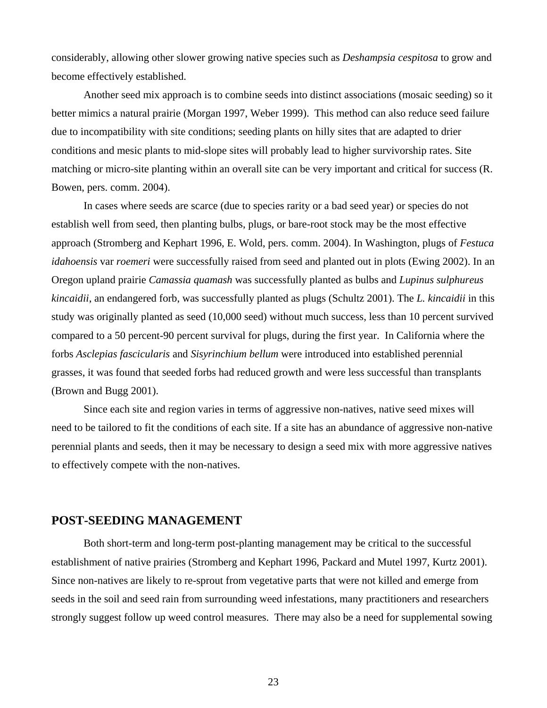considerably, allowing other slower growing native species such as *Deshampsia cespitosa* to grow and become effectively established.

Another seed mix approach is to combine seeds into distinct associations (mosaic seeding) so it better mimics a natural prairie (Morgan 1997, Weber 1999). This method can also reduce seed failure due to incompatibility with site conditions; seeding plants on hilly sites that are adapted to drier conditions and mesic plants to mid-slope sites will probably lead to higher survivorship rates. Site matching or micro-site planting within an overall site can be very important and critical for success (R. Bowen, pers. comm. 2004).

In cases where seeds are scarce (due to species rarity or a bad seed year) or species do not establish well from seed, then planting bulbs, plugs, or bare-root stock may be the most effective approach (Stromberg and Kephart 1996, E. Wold, pers. comm. 2004). In Washington, plugs of *Festuca idahoensis* var *roemeri* were successfully raised from seed and planted out in plots (Ewing 2002). In an Oregon upland prairie *Camassia quamash* was successfully planted as bulbs and *Lupinus sulphureus kincaidii*, an endangered forb, was successfully planted as plugs (Schultz 2001). The *L. kincaidii* in this study was originally planted as seed (10,000 seed) without much success, less than 10 percent survived compared to a 50 percent-90 percent survival for plugs, during the first year. In California where the forbs *Asclepias fascicularis* and *Sisyrinchium bellum* were introduced into established perennial grasses, it was found that seeded forbs had reduced growth and were less successful than transplants (Brown and Bugg 2001).

Since each site and region varies in terms of aggressive non-natives, native seed mixes will need to be tailored to fit the conditions of each site. If a site has an abundance of aggressive non-native perennial plants and seeds, then it may be necessary to design a seed mix with more aggressive natives to effectively compete with the non-natives.

### **POST-SEEDING MANAGEMENT**

Both short-term and long-term post-planting management may be critical to the successful establishment of native prairies (Stromberg and Kephart 1996, Packard and Mutel 1997, Kurtz 2001). Since non-natives are likely to re-sprout from vegetative parts that were not killed and emerge from seeds in the soil and seed rain from surrounding weed infestations, many practitioners and researchers strongly suggest follow up weed control measures. There may also be a need for supplemental sowing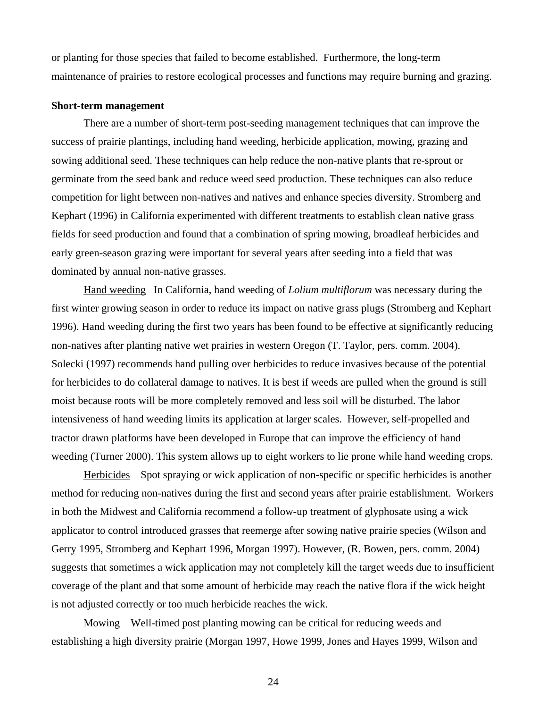or planting for those species that failed to become established.Furthermore, the long-term maintenance of prairies to restore ecological processes and functions may require burning and grazing.

#### **Short-term management**

There are a number of short-term post-seeding management techniques that can improve the success of prairie plantings, including hand weeding, herbicide application, mowing, grazing and sowing additional seed. These techniques can help reduce the non-native plants that re-sprout or germinate from the seed bank and reduce weed seed production. These techniques can also reduce competition for light between non-natives and natives and enhance species diversity. Stromberg and Kephart (1996) in California experimented with different treatments to establish clean native grass fields for seed production and found that a combination of spring mowing, broadleaf herbicides and early green-season grazing were important for several years after seeding into a field that was dominated by annual non-native grasses.

Hand weeding In California, hand weeding of *Lolium multiflorum* was necessary during the first winter growing season in order to reduce its impact on native grass plugs (Stromberg and Kephart 1996). Hand weeding during the first two years has been found to be effective at significantly reducing non-natives after planting native wet prairies in western Oregon (T. Taylor, pers. comm. 2004). Solecki (1997) recommends hand pulling over herbicides to reduce invasives because of the potential for herbicides to do collateral damage to natives. It is best if weeds are pulled when the ground is still moist because roots will be more completely removed and less soil will be disturbed. The labor intensiveness of hand weeding limits its application at larger scales. However, self-propelled and tractor drawn platforms have been developed in Europe that can improve the efficiency of hand weeding (Turner 2000). This system allows up to eight workers to lie prone while hand weeding crops.

Herbicides Spot spraying or wick application of non-specific or specific herbicides is another method for reducing non-natives during the first and second years after prairie establishment. Workers in both the Midwest and California recommend a follow-up treatment of glyphosate using a wick applicator to control introduced grasses that reemerge after sowing native prairie species (Wilson and Gerry 1995, Stromberg and Kephart 1996, Morgan 1997). However, (R. Bowen, pers. comm. 2004) suggests that sometimes a wick application may not completely kill the target weeds due to insufficient coverage of the plant and that some amount of herbicide may reach the native flora if the wick height is not adjusted correctly or too much herbicide reaches the wick.

Mowing Well-timed post planting mowing can be critical for reducing weeds and establishing a high diversity prairie (Morgan 1997, Howe 1999, Jones and Hayes 1999, Wilson and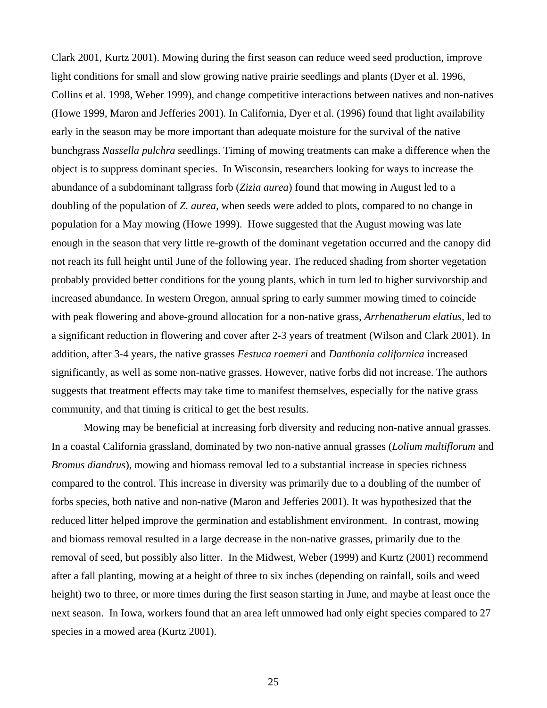Clark 2001, Kurtz 2001). Mowing during the first season can reduce weed seed production, improve light conditions for small and slow growing native prairie seedlings and plants (Dyer et al. 1996, Collins et al. 1998, Weber 1999), and change competitive interactions between natives and non-natives (Howe 1999, Maron and Jefferies 2001). In California, Dyer et al. (1996) found that light availability early in the season may be more important than adequate moisture for the survival of the native bunchgrass *Nassella pulchra* seedlings. Timing of mowing treatments can make a difference when the object is to suppress dominant species. In Wisconsin, researchers looking for ways to increase the abundance of a subdominant tallgrass forb (*Zizia aurea*) found that mowing in August led to a doubling of the population of *Z. aurea*, when seeds were added to plots, compared to no change in population for a May mowing (Howe 1999). Howe suggested that the August mowing was late enough in the season that very little re-growth of the dominant vegetation occurred and the canopy did not reach its full height until June of the following year. The reduced shading from shorter vegetation probably provided better conditions for the young plants, which in turn led to higher survivorship and increased abundance. In western Oregon, annual spring to early summer mowing timed to coincide with peak flowering and above-ground allocation for a non-native grass, *Arrhenatherum elatius*, led to a significant reduction in flowering and cover after 2-3 years of treatment (Wilson and Clark 2001). In addition, after 3-4 years, the native grasses *Festuca roemeri* and *Danthonia californica* increased significantly, as well as some non-native grasses. However, native forbs did not increase. The authors suggests that treatment effects may take time to manifest themselves, especially for the native grass community, and that timing is critical to get the best results.

Mowing may be beneficial at increasing forb diversity and reducing non-native annual grasses. In a coastal California grassland, dominated by two non-native annual grasses (*Lolium multiflorum* and *Bromus diandrus*), mowing and biomass removal led to a substantial increase in species richness compared to the control. This increase in diversity was primarily due to a doubling of the number of forbs species, both native and non-native (Maron and Jefferies 2001). It was hypothesized that the reduced litter helped improve the germination and establishment environment. In contrast, mowing and biomass removal resulted in a large decrease in the non-native grasses, primarily due to the removal of seed, but possibly also litter. In the Midwest, Weber (1999) and Kurtz (2001) recommend after a fall planting, mowing at a height of three to six inches (depending on rainfall, soils and weed height) two to three, or more times during the first season starting in June, and maybe at least once the next season. In Iowa, workers found that an area left unmowed had only eight species compared to 27 species in a mowed area (Kurtz 2001).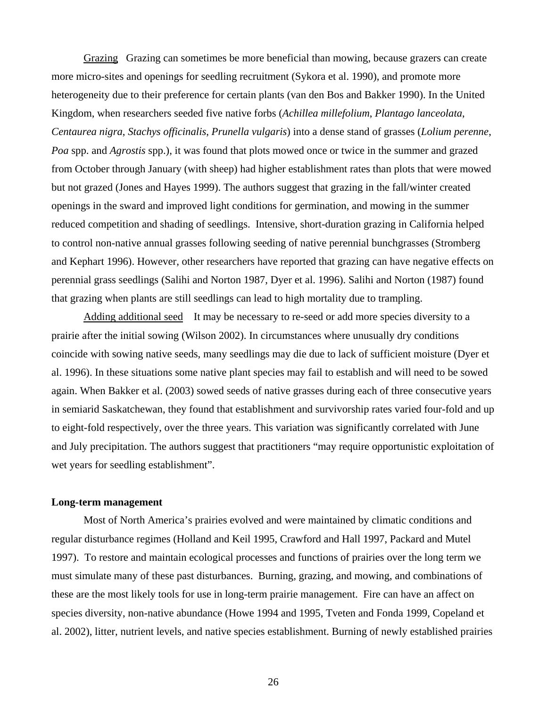Grazing Grazing can sometimes be more beneficial than mowing, because grazers can create more micro-sites and openings for seedling recruitment (Sykora et al. 1990), and promote more heterogeneity due to their preference for certain plants (van den Bos and Bakker 1990). In the United Kingdom, when researchers seeded five native forbs (*Achillea millefolium*, *Plantago lanceolata*, *Centaurea nigra*, *Stachys officinalis*, *Prunella vulgaris*) into a dense stand of grasses (*Lolium perenne*, *Poa* spp. and *Agrostis* spp.), it was found that plots mowed once or twice in the summer and grazed from October through January (with sheep) had higher establishment rates than plots that were mowed but not grazed (Jones and Hayes 1999). The authors suggest that grazing in the fall/winter created openings in the sward and improved light conditions for germination, and mowing in the summer reduced competition and shading of seedlings. Intensive, short-duration grazing in California helped to control non-native annual grasses following seeding of native perennial bunchgrasses (Stromberg and Kephart 1996). However, other researchers have reported that grazing can have negative effects on perennial grass seedlings (Salihi and Norton 1987, Dyer et al. 1996). Salihi and Norton (1987) found that grazing when plants are still seedlings can lead to high mortality due to trampling.

Adding additional seed It may be necessary to re-seed or add more species diversity to a prairie after the initial sowing (Wilson 2002). In circumstances where unusually dry conditions coincide with sowing native seeds, many seedlings may die due to lack of sufficient moisture (Dyer et al. 1996). In these situations some native plant species may fail to establish and will need to be sowed again. When Bakker et al. (2003) sowed seeds of native grasses during each of three consecutive years in semiarid Saskatchewan, they found that establishment and survivorship rates varied four-fold and up to eight-fold respectively, over the three years. This variation was significantly correlated with June and July precipitation. The authors suggest that practitioners "may require opportunistic exploitation of wet years for seedling establishment".

#### **Long-term management**

Most of North America's prairies evolved and were maintained by climatic conditions and regular disturbance regimes (Holland and Keil 1995, Crawford and Hall 1997, Packard and Mutel 1997). To restore and maintain ecological processes and functions of prairies over the long term we must simulate many of these past disturbances. Burning, grazing, and mowing, and combinations of these are the most likely tools for use in long-term prairie management. Fire can have an affect on species diversity, non-native abundance (Howe 1994 and 1995, Tveten and Fonda 1999, Copeland et al. 2002), litter, nutrient levels, and native species establishment. Burning of newly established prairies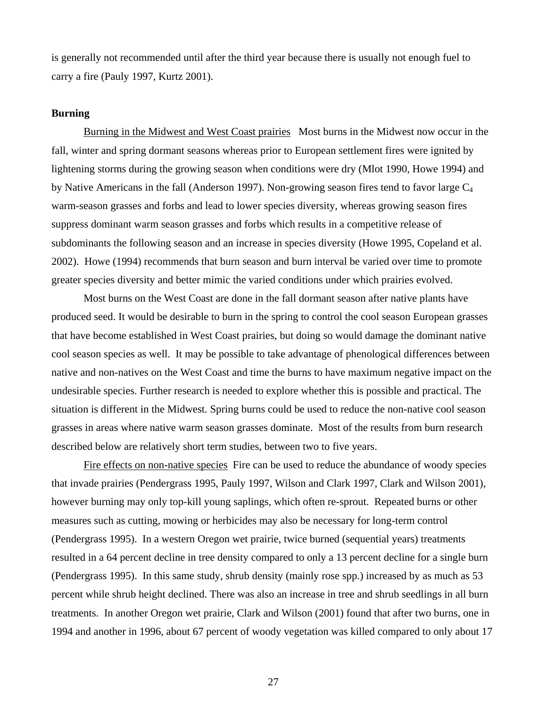is generally not recommended until after the third year because there is usually not enough fuel to carry a fire (Pauly 1997, Kurtz 2001).

#### **Burning**

Burning in the Midwest and West Coast prairiesMost burns in the Midwest now occur in the fall, winter and spring dormant seasons whereas prior to European settlement fires were ignited by lightening storms during the growing season when conditions were dry (Mlot 1990, Howe 1994) and by Native Americans in the fall (Anderson 1997). Non-growing season fires tend to favor large  $C_4$ warm-season grasses and forbs and lead to lower species diversity, whereas growing season fires suppress dominant warm season grasses and forbs which results in a competitive release of subdominants the following season and an increase in species diversity (Howe 1995, Copeland et al. 2002). Howe (1994) recommends that burn season and burn interval be varied over time to promote greater species diversity and better mimic the varied conditions under which prairies evolved.

Most burns on the West Coast are done in the fall dormant season after native plants have produced seed. It would be desirable to burn in the spring to control the cool season European grasses that have become established in West Coast prairies, but doing so would damage the dominant native cool season species as well. It may be possible to take advantage of phenological differences between native and non-natives on the West Coast and time the burns to have maximum negative impact on the undesirable species. Further research is needed to explore whether this is possible and practical. The situation is different in the Midwest. Spring burns could be used to reduce the non-native cool season grasses in areas where native warm season grasses dominate. Most of the results from burn research described below are relatively short term studies, between two to five years.

Fire effects on non-native species Fire can be used to reduce the abundance of woody species that invade prairies (Pendergrass 1995, Pauly 1997, Wilson and Clark 1997, Clark and Wilson 2001), however burning may only top-kill young saplings, which often re-sprout. Repeated burns or other measures such as cutting, mowing or herbicides may also be necessary for long-term control (Pendergrass 1995). In a western Oregon wet prairie, twice burned (sequential years) treatments resulted in a 64 percent decline in tree density compared to only a 13 percent decline for a single burn (Pendergrass 1995). In this same study, shrub density (mainly rose spp.) increased by as much as 53 percent while shrub height declined. There was also an increase in tree and shrub seedlings in all burn treatments. In another Oregon wet prairie, Clark and Wilson (2001) found that after two burns, one in 1994 and another in 1996, about 67 percent of woody vegetation was killed compared to only about 17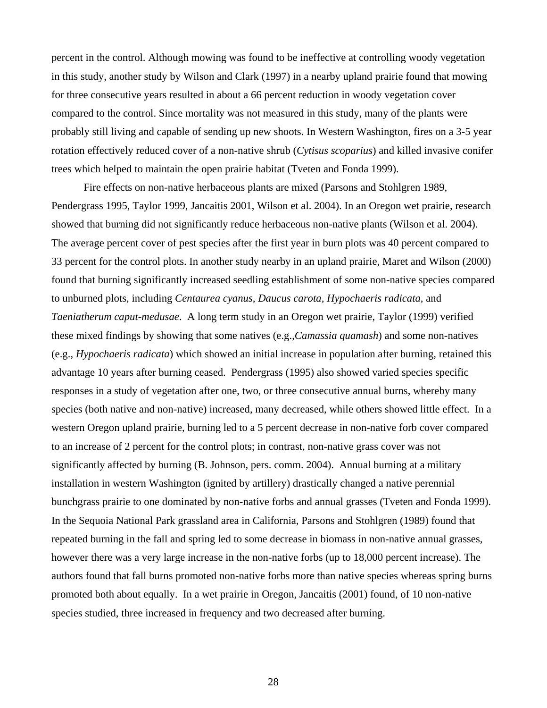percent in the control. Although mowing was found to be ineffective at controlling woody vegetation in this study, another study by Wilson and Clark (1997) in a nearby upland prairie found that mowing for three consecutive years resulted in about a 66 percent reduction in woody vegetation cover compared to the control. Since mortality was not measured in this study, many of the plants were probably still living and capable of sending up new shoots. In Western Washington, fires on a 3-5 year rotation effectively reduced cover of a non-native shrub (*Cytisus scoparius*) and killed invasive conifer trees which helped to maintain the open prairie habitat (Tveten and Fonda 1999).

Fire effects on non-native herbaceous plants are mixed (Parsons and Stohlgren 1989, Pendergrass 1995, Taylor 1999, Jancaitis 2001, Wilson et al. 2004). In an Oregon wet prairie, research showed that burning did not significantly reduce herbaceous non-native plants (Wilson et al. 2004). The average percent cover of pest species after the first year in burn plots was 40 percent compared to 33 percent for the control plots. In another study nearby in an upland prairie, Maret and Wilson (2000) found that burning significantly increased seedling establishment of some non-native species compared to unburned plots, including *Centaurea cyanus, Daucus carota, Hypochaeris radicata*, and *Taeniatherum caput-medusae*. A long term study in an Oregon wet prairie, Taylor (1999) verified these mixed findings by showing that some natives (e.g.,*Camassia quamash*) and some non-natives (e.g., *Hypochaeris radicata*) which showed an initial increase in population after burning, retained this advantage 10 years after burning ceased. Pendergrass (1995) also showed varied species specific responses in a study of vegetation after one, two, or three consecutive annual burns, whereby many species (both native and non-native) increased, many decreased, while others showed little effect. In a western Oregon upland prairie, burning led to a 5 percent decrease in non-native forb cover compared to an increase of 2 percent for the control plots; in contrast, non-native grass cover was not significantly affected by burning (B. Johnson, pers. comm. 2004). Annual burning at a military installation in western Washington (ignited by artillery) drastically changed a native perennial bunchgrass prairie to one dominated by non-native forbs and annual grasses (Tveten and Fonda 1999). In the Sequoia National Park grassland area in California, Parsons and Stohlgren (1989) found that repeated burning in the fall and spring led to some decrease in biomass in non-native annual grasses, however there was a very large increase in the non-native forbs (up to 18,000 percent increase). The authors found that fall burns promoted non-native forbs more than native species whereas spring burns promoted both about equally. In a wet prairie in Oregon, Jancaitis (2001) found, of 10 non-native species studied, three increased in frequency and two decreased after burning.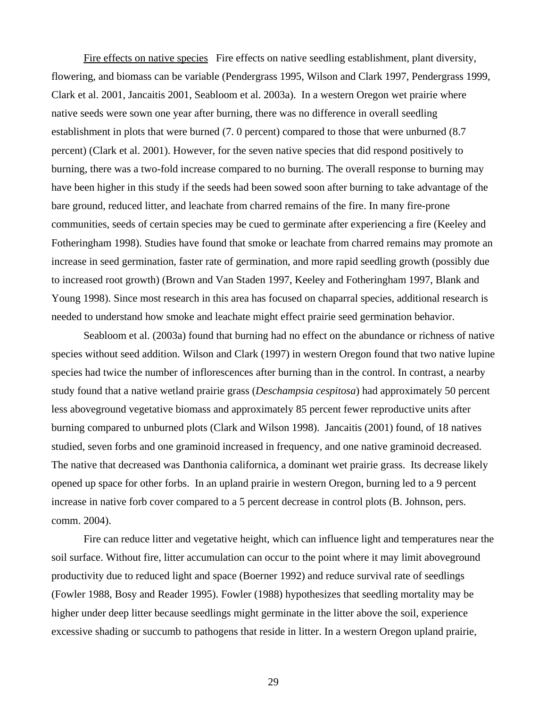Fire effects on native species Fire effects on native seedling establishment, plant diversity, flowering, and biomass can be variable (Pendergrass 1995, Wilson and Clark 1997, Pendergrass 1999, Clark et al. 2001, Jancaitis 2001, Seabloom et al. 2003a). In a western Oregon wet prairie where native seeds were sown one year after burning, there was no difference in overall seedling establishment in plots that were burned (7. 0 percent) compared to those that were unburned (8.7 percent) (Clark et al. 2001). However, for the seven native species that did respond positively to burning, there was a two-fold increase compared to no burning. The overall response to burning may have been higher in this study if the seeds had been sowed soon after burning to take advantage of the bare ground, reduced litter, and leachate from charred remains of the fire. In many fire-prone communities, seeds of certain species may be cued to germinate after experiencing a fire (Keeley and Fotheringham 1998). Studies have found that smoke or leachate from charred remains may promote an increase in seed germination, faster rate of germination, and more rapid seedling growth (possibly due to increased root growth) (Brown and Van Staden 1997, Keeley and Fotheringham 1997, Blank and Young 1998). Since most research in this area has focused on chaparral species, additional research is needed to understand how smoke and leachate might effect prairie seed germination behavior.

Seabloom et al. (2003a) found that burning had no effect on the abundance or richness of native species without seed addition. Wilson and Clark (1997) in western Oregon found that two native lupine species had twice the number of inflorescences after burning than in the control. In contrast, a nearby study found that a native wetland prairie grass (*Deschampsia cespitosa*) had approximately 50 percent less aboveground vegetative biomass and approximately 85 percent fewer reproductive units after burning compared to unburned plots (Clark and Wilson 1998). Jancaitis (2001) found, of 18 natives studied, seven forbs and one graminoid increased in frequency, and one native graminoid decreased. The native that decreased was Danthonia californica, a dominant wet prairie grass. Its decrease likely opened up space for other forbs. In an upland prairie in western Oregon, burning led to a 9 percent increase in native forb cover compared to a 5 percent decrease in control plots (B. Johnson, pers. comm. 2004).

Fire can reduce litter and vegetative height, which can influence light and temperatures near the soil surface. Without fire, litter accumulation can occur to the point where it may limit aboveground productivity due to reduced light and space (Boerner 1992) and reduce survival rate of seedlings (Fowler 1988, Bosy and Reader 1995). Fowler (1988) hypothesizes that seedling mortality may be higher under deep litter because seedlings might germinate in the litter above the soil, experience excessive shading or succumb to pathogens that reside in litter. In a western Oregon upland prairie,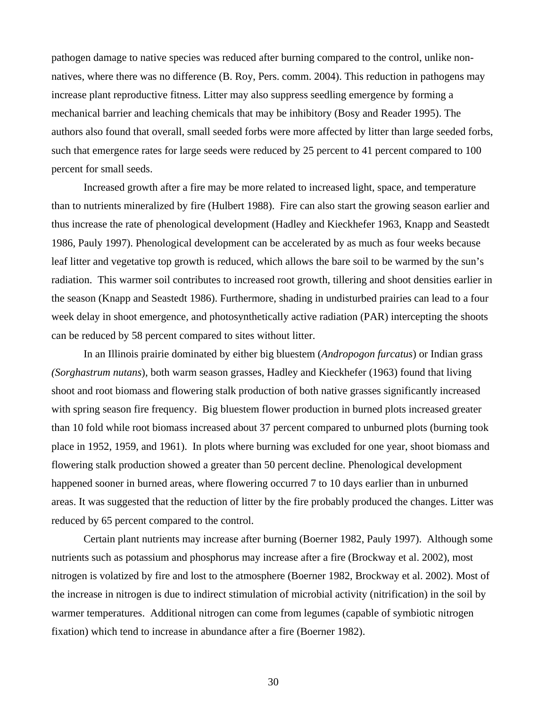pathogen damage to native species was reduced after burning compared to the control, unlike nonnatives, where there was no difference (B. Roy, Pers. comm. 2004). This reduction in pathogens may increase plant reproductive fitness. Litter may also suppress seedling emergence by forming a mechanical barrier and leaching chemicals that may be inhibitory (Bosy and Reader 1995). The authors also found that overall, small seeded forbs were more affected by litter than large seeded forbs, such that emergence rates for large seeds were reduced by 25 percent to 41 percent compared to 100 percent for small seeds.

Increased growth after a fire may be more related to increased light, space, and temperature than to nutrients mineralized by fire (Hulbert 1988). Fire can also start the growing season earlier and thus increase the rate of phenological development (Hadley and Kieckhefer 1963, Knapp and Seastedt 1986, Pauly 1997). Phenological development can be accelerated by as much as four weeks because leaf litter and vegetative top growth is reduced, which allows the bare soil to be warmed by the sun's radiation. This warmer soil contributes to increased root growth, tillering and shoot densities earlier in the season (Knapp and Seastedt 1986). Furthermore, shading in undisturbed prairies can lead to a four week delay in shoot emergence, and photosynthetically active radiation (PAR) intercepting the shoots can be reduced by 58 percent compared to sites without litter.

In an Illinois prairie dominated by either big bluestem (*Andropogon furcatus*) or Indian grass *(Sorghastrum nutans*), both warm season grasses, Hadley and Kieckhefer (1963) found that living shoot and root biomass and flowering stalk production of both native grasses significantly increased with spring season fire frequency. Big bluestem flower production in burned plots increased greater than 10 fold while root biomass increased about 37 percent compared to unburned plots (burning took place in 1952, 1959, and 1961). In plots where burning was excluded for one year, shoot biomass and flowering stalk production showed a greater than 50 percent decline. Phenological development happened sooner in burned areas, where flowering occurred 7 to 10 days earlier than in unburned areas. It was suggested that the reduction of litter by the fire probably produced the changes. Litter was reduced by 65 percent compared to the control.

Certain plant nutrients may increase after burning (Boerner 1982, Pauly 1997). Although some nutrients such as potassium and phosphorus may increase after a fire (Brockway et al. 2002), most nitrogen is volatized by fire and lost to the atmosphere (Boerner 1982, Brockway et al. 2002). Most of the increase in nitrogen is due to indirect stimulation of microbial activity (nitrification) in the soil by warmer temperatures. Additional nitrogen can come from legumes (capable of symbiotic nitrogen fixation) which tend to increase in abundance after a fire (Boerner 1982).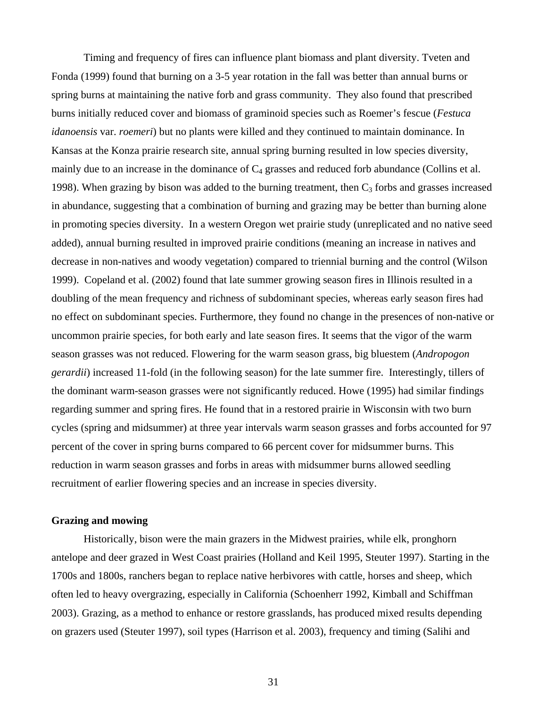Timing and frequency of fires can influence plant biomass and plant diversity. Tveten and Fonda (1999) found that burning on a 3-5 year rotation in the fall was better than annual burns or spring burns at maintaining the native forb and grass community. They also found that prescribed burns initially reduced cover and biomass of graminoid species such as Roemer's fescue (*Festuca idanoensis* var. *roemeri*) but no plants were killed and they continued to maintain dominance. In Kansas at the Konza prairie research site, annual spring burning resulted in low species diversity, mainly due to an increase in the dominance of  $C_4$  grasses and reduced forb abundance (Collins et al. 1998). When grazing by bison was added to the burning treatment, then  $C_3$  forbs and grasses increased in abundance, suggesting that a combination of burning and grazing may be better than burning alone in promoting species diversity. In a western Oregon wet prairie study (unreplicated and no native seed added), annual burning resulted in improved prairie conditions (meaning an increase in natives and decrease in non-natives and woody vegetation) compared to triennial burning and the control (Wilson 1999). Copeland et al. (2002) found that late summer growing season fires in Illinois resulted in a doubling of the mean frequency and richness of subdominant species, whereas early season fires had no effect on subdominant species. Furthermore, they found no change in the presences of non-native or uncommon prairie species, for both early and late season fires. It seems that the vigor of the warm season grasses was not reduced. Flowering for the warm season grass, big bluestem (*Andropogon gerardii*) increased 11-fold (in the following season) for the late summer fire. Interestingly, tillers of the dominant warm-season grasses were not significantly reduced. Howe (1995) had similar findings regarding summer and spring fires. He found that in a restored prairie in Wisconsin with two burn cycles (spring and midsummer) at three year intervals warm season grasses and forbs accounted for 97 percent of the cover in spring burns compared to 66 percent cover for midsummer burns. This reduction in warm season grasses and forbs in areas with midsummer burns allowed seedling recruitment of earlier flowering species and an increase in species diversity.

#### **Grazing and mowing**

Historically, bison were the main grazers in the Midwest prairies, while elk, pronghorn antelope and deer grazed in West Coast prairies (Holland and Keil 1995, Steuter 1997). Starting in the 1700s and 1800s, ranchers began to replace native herbivores with cattle, horses and sheep, which often led to heavy overgrazing, especially in California (Schoenherr 1992, Kimball and Schiffman 2003). Grazing, as a method to enhance or restore grasslands, has produced mixed results depending on grazers used (Steuter 1997), soil types (Harrison et al. 2003), frequency and timing (Salihi and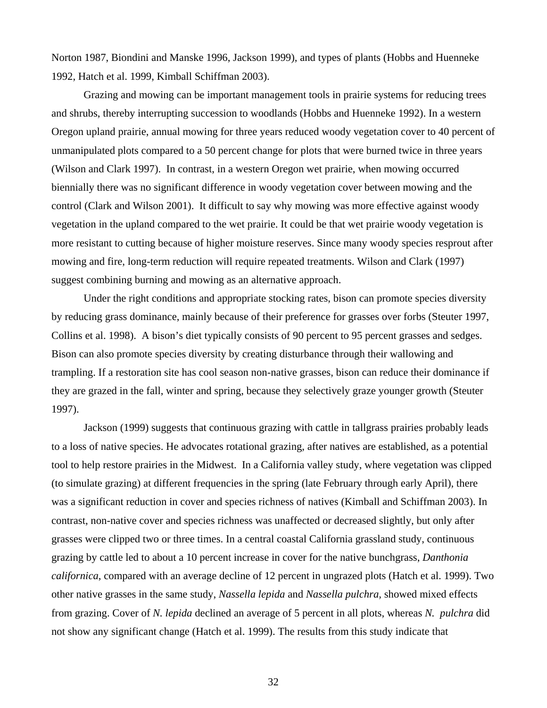Norton 1987, Biondini and Manske 1996, Jackson 1999), and types of plants (Hobbs and Huenneke 1992, Hatch et al. 1999, Kimball Schiffman 2003).

Grazing and mowing can be important management tools in prairie systems for reducing trees and shrubs, thereby interrupting succession to woodlands (Hobbs and Huenneke 1992). In a western Oregon upland prairie, annual mowing for three years reduced woody vegetation cover to 40 percent of unmanipulated plots compared to a 50 percent change for plots that were burned twice in three years (Wilson and Clark 1997). In contrast, in a western Oregon wet prairie, when mowing occurred biennially there was no significant difference in woody vegetation cover between mowing and the control (Clark and Wilson 2001). It difficult to say why mowing was more effective against woody vegetation in the upland compared to the wet prairie. It could be that wet prairie woody vegetation is more resistant to cutting because of higher moisture reserves. Since many woody species resprout after mowing and fire, long-term reduction will require repeated treatments. Wilson and Clark (1997) suggest combining burning and mowing as an alternative approach.

Under the right conditions and appropriate stocking rates, bison can promote species diversity by reducing grass dominance, mainly because of their preference for grasses over forbs (Steuter 1997, Collins et al. 1998). A bison's diet typically consists of 90 percent to 95 percent grasses and sedges. Bison can also promote species diversity by creating disturbance through their wallowing and trampling. If a restoration site has cool season non-native grasses, bison can reduce their dominance if they are grazed in the fall, winter and spring, because they selectively graze younger growth (Steuter 1997).

Jackson (1999) suggests that continuous grazing with cattle in tallgrass prairies probably leads to a loss of native species. He advocates rotational grazing, after natives are established, as a potential tool to help restore prairies in the Midwest. In a California valley study, where vegetation was clipped (to simulate grazing) at different frequencies in the spring (late February through early April), there was a significant reduction in cover and species richness of natives (Kimball and Schiffman 2003). In contrast, non-native cover and species richness was unaffected or decreased slightly, but only after grasses were clipped two or three times. In a central coastal California grassland study, continuous grazing by cattle led to about a 10 percent increase in cover for the native bunchgrass, *Danthonia californica*, compared with an average decline of 12 percent in ungrazed plots (Hatch et al. 1999). Two other native grasses in the same study, *Nassella lepida* and *Nassella pulchra,* showed mixed effects from grazing. Cover of *N. lepida* declined an average of 5 percent in all plots, whereas *N. pulchra* did not show any significant change (Hatch et al. 1999). The results from this study indicate that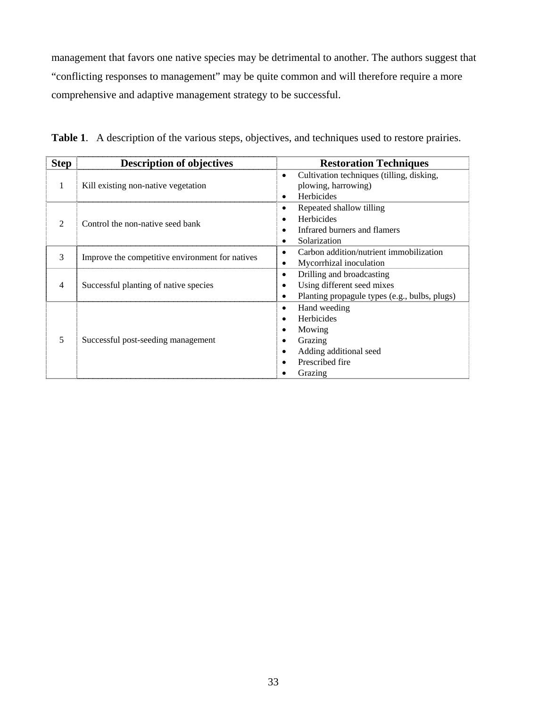management that favors one native species may be detrimental to another. The authors suggest that "conflicting responses to management" may be quite common and will therefore require a more comprehensive and adaptive management strategy to be successful.

| <b>Step</b>                 | <b>Description of objectives</b>                | <b>Restoration Techniques</b>                                                                                 |
|-----------------------------|-------------------------------------------------|---------------------------------------------------------------------------------------------------------------|
| 1                           | Kill existing non-native vegetation             | Cultivation techniques (tilling, disking,<br>plowing, harrowing)<br>Herbicides                                |
| $\mathcal{D}_{\mathcal{L}}$ | Control the non-native seed bank                | Repeated shallow tilling<br><b>Herbicides</b><br>Infrared burners and flamers<br>Solarization                 |
| 3                           | Improve the competitive environment for natives | Carbon addition/nutrient immobilization<br>$\bullet$<br>Mycorrhizal inoculation                               |
| 4                           | Successful planting of native species           | Drilling and broadcasting<br>Using different seed mixes<br>٠<br>Planting propagule types (e.g., bulbs, plugs) |
| 5                           | Successful post-seeding management              | Hand weeding<br>Herbicides<br>Mowing<br>Grazing<br>Adding additional seed<br>Prescribed fire<br>Grazing       |

**Table 1**. A description of the various steps, objectives, and techniques used to restore prairies.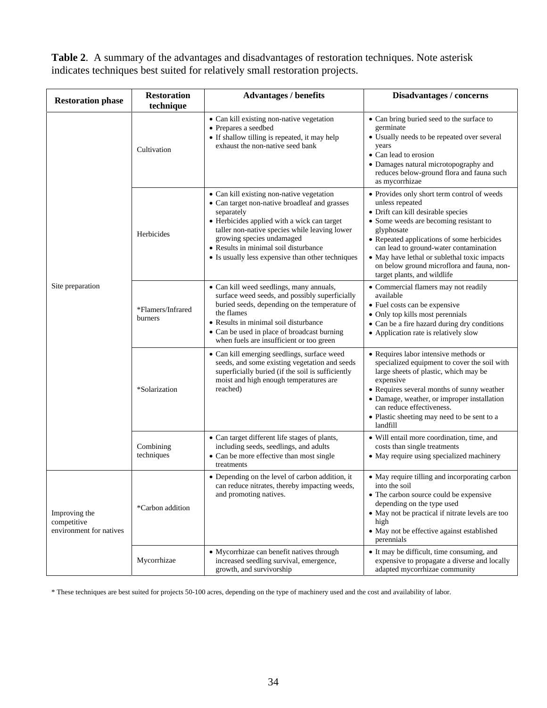**Table 2**. A summary of the advantages and disadvantages of restoration techniques. Note asterisk indicates techniques best suited for relatively small restoration projects.

| <b>Restoration phase</b>                                | <b>Restoration</b><br>technique | <b>Advantages / benefits</b>                                                                                                                                                                                                                                                                                                        | Disadvantages / concerns                                                                                                                                                                                                                                                                                                                                                          |
|---------------------------------------------------------|---------------------------------|-------------------------------------------------------------------------------------------------------------------------------------------------------------------------------------------------------------------------------------------------------------------------------------------------------------------------------------|-----------------------------------------------------------------------------------------------------------------------------------------------------------------------------------------------------------------------------------------------------------------------------------------------------------------------------------------------------------------------------------|
| Site preparation                                        | Cultivation                     | • Can kill existing non-native vegetation<br>• Prepares a seedbed<br>• If shallow tilling is repeated, it may help<br>exhaust the non-native seed bank                                                                                                                                                                              | • Can bring buried seed to the surface to<br>germinate<br>• Usually needs to be repeated over several<br>years<br>• Can lead to erosion<br>• Damages natural microtopography and<br>reduces below-ground flora and fauna such<br>as mycorrhizae                                                                                                                                   |
|                                                         | Herbicides                      | • Can kill existing non-native vegetation<br>• Can target non-native broadleaf and grasses<br>separately<br>• Herbicides applied with a wick can target<br>taller non-native species while leaving lower<br>growing species undamaged<br>• Results in minimal soil disturbance<br>• Is usually less expensive than other techniques | • Provides only short term control of weeds<br>unless repeated<br>• Drift can kill desirable species<br>• Some weeds are becoming resistant to<br>glyphosate<br>• Repeated applications of some herbicides<br>can lead to ground-water contamination<br>• May have lethal or sublethal toxic impacts<br>on below ground microflora and fauna, non-<br>target plants, and wildlife |
|                                                         | *Flamers/Infrared<br>burners    | • Can kill weed seedlings, many annuals,<br>surface weed seeds, and possibly superficially<br>buried seeds, depending on the temperature of<br>the flames<br>• Results in minimal soil disturbance<br>• Can be used in place of broadcast burning<br>when fuels are insufficient or too green                                       | • Commercial flamers may not readily<br>available<br>• Fuel costs can be expensive<br>• Only top kills most perennials<br>• Can be a fire hazard during dry conditions<br>• Application rate is relatively slow                                                                                                                                                                   |
|                                                         | *Solarization                   | • Can kill emerging seedlings, surface weed<br>seeds, and some existing vegetation and seeds<br>superficially buried (if the soil is sufficiently<br>moist and high enough temperatures are<br>reached)                                                                                                                             | • Requires labor intensive methods or<br>specialized equipment to cover the soil with<br>large sheets of plastic, which may be<br>expensive<br>• Requires several months of sunny weather<br>• Damage, weather, or improper installation<br>can reduce effectiveness.<br>• Plastic sheeting may need to be sent to a<br>landfill                                                  |
|                                                         | Combining<br>techniques         | • Can target different life stages of plants,<br>including seeds, seedlings, and adults<br>• Can be more effective than most single<br>treatments                                                                                                                                                                                   | · Will entail more coordination, time, and<br>costs than single treatments<br>• May require using specialized machinery                                                                                                                                                                                                                                                           |
| Improving the<br>competitive<br>environment for natives | *Carbon addition                | • Depending on the level of carbon addition, it<br>can reduce nitrates, thereby impacting weeds,<br>and promoting natives.                                                                                                                                                                                                          | • May require tilling and incorporating carbon<br>into the soil<br>• The carbon source could be expensive<br>depending on the type used<br>• May not be practical if nitrate levels are too<br>high<br>• May not be effective against established<br>perennials                                                                                                                   |
|                                                         | Mycorrhizae                     | • Mycorrhizae can benefit natives through<br>increased seedling survival, emergence,<br>growth, and survivorship                                                                                                                                                                                                                    | • It may be difficult, time consuming, and<br>expensive to propagate a diverse and locally<br>adapted mycorrhizae community                                                                                                                                                                                                                                                       |

\* These techniques are best suited for projects 50-100 acres, depending on the type of machinery used and the cost and availability of labor.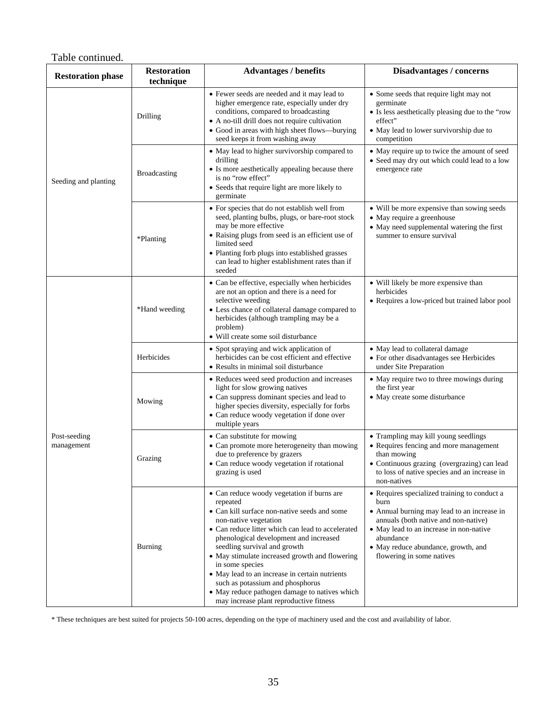Table continued.

| <b>Restoration phase</b>   | <b>Restoration</b><br>technique | <b>Advantages / benefits</b>                                                                                                                                                                                                                                                                                                                                                                                                                                                                                          | Disadvantages / concerns                                                                                                                                                                                                                                                |
|----------------------------|---------------------------------|-----------------------------------------------------------------------------------------------------------------------------------------------------------------------------------------------------------------------------------------------------------------------------------------------------------------------------------------------------------------------------------------------------------------------------------------------------------------------------------------------------------------------|-------------------------------------------------------------------------------------------------------------------------------------------------------------------------------------------------------------------------------------------------------------------------|
| Seeding and planting       | Drilling                        | • Fewer seeds are needed and it may lead to<br>higher emergence rate, especially under dry<br>conditions, compared to broadcasting<br>• A no-till drill does not require cultivation<br>• Good in areas with high sheet flows—burying<br>seed keeps it from washing away                                                                                                                                                                                                                                              | • Some seeds that require light may not<br>germinate<br>• Is less aesthetically pleasing due to the "row<br>effect"<br>• May lead to lower survivorship due to<br>competition                                                                                           |
|                            | <b>Broadcasting</b>             | • May lead to higher survivorship compared to<br>drilling<br>• Is more aesthetically appealing because there<br>is no "row effect"<br>• Seeds that require light are more likely to<br>germinate                                                                                                                                                                                                                                                                                                                      | • May require up to twice the amount of seed<br>• Seed may dry out which could lead to a low<br>emergence rate                                                                                                                                                          |
|                            | *Planting                       | • For species that do not establish well from<br>seed, planting bulbs, plugs, or bare-root stock<br>may be more effective<br>• Raising plugs from seed is an efficient use of<br>limited seed<br>• Planting forb plugs into established grasses<br>can lead to higher establishment rates than if<br>seeded                                                                                                                                                                                                           | • Will be more expensive than sowing seeds<br>• May require a greenhouse<br>• May need supplemental watering the first<br>summer to ensure survival                                                                                                                     |
|                            | *Hand weeding                   | • Can be effective, especially when herbicides<br>are not an option and there is a need for<br>selective weeding<br>• Less chance of collateral damage compared to<br>herbicides (although trampling may be a<br>problem)<br>· Will create some soil disturbance                                                                                                                                                                                                                                                      | • Will likely be more expensive than<br>herbicides<br>· Requires a low-priced but trained labor pool                                                                                                                                                                    |
|                            | Herbicides                      | • Spot spraying and wick application of<br>herbicides can be cost efficient and effective<br>• Results in minimal soil disturbance                                                                                                                                                                                                                                                                                                                                                                                    | • May lead to collateral damage<br>• For other disadvantages see Herbicides<br>under Site Preparation                                                                                                                                                                   |
|                            | Mowing                          | • Reduces weed seed production and increases<br>light for slow growing natives<br>• Can suppress dominant species and lead to<br>higher species diversity, especially for forbs<br>• Can reduce woody vegetation if done over<br>multiple years                                                                                                                                                                                                                                                                       | • May require two to three mowings during<br>the first year<br>• May create some disturbance                                                                                                                                                                            |
| Post-seeding<br>management | Grazing                         | • Can substitute for mowing<br>• Can promote more heterogeneity than mowing<br>due to preference by grazers<br>• Can reduce woody vegetation if rotational<br>grazing is used                                                                                                                                                                                                                                                                                                                                         | • Trampling may kill young seedlings<br>• Requires fencing and more management<br>than mowing<br>• Continuous grazing (overgrazing) can lead<br>to loss of native species and an increase in<br>non-natives                                                             |
|                            | Burning                         | • Can reduce woody vegetation if burns are<br>repeated<br>• Can kill surface non-native seeds and some<br>non-native vegetation<br>• Can reduce litter which can lead to accelerated<br>phenological development and increased<br>seedling survival and growth<br>• May stimulate increased growth and flowering<br>in some species<br>• May lead to an increase in certain nutrients<br>such as potassium and phosphorus<br>• May reduce pathogen damage to natives which<br>may increase plant reproductive fitness | • Requires specialized training to conduct a<br>burn<br>• Annual burning may lead to an increase in<br>annuals (both native and non-native)<br>• May lead to an increase in non-native<br>abundance<br>• May reduce abundance, growth, and<br>flowering in some natives |

\* These techniques are best suited for projects 50-100 acres, depending on the type of machinery used and the cost and availability of labor.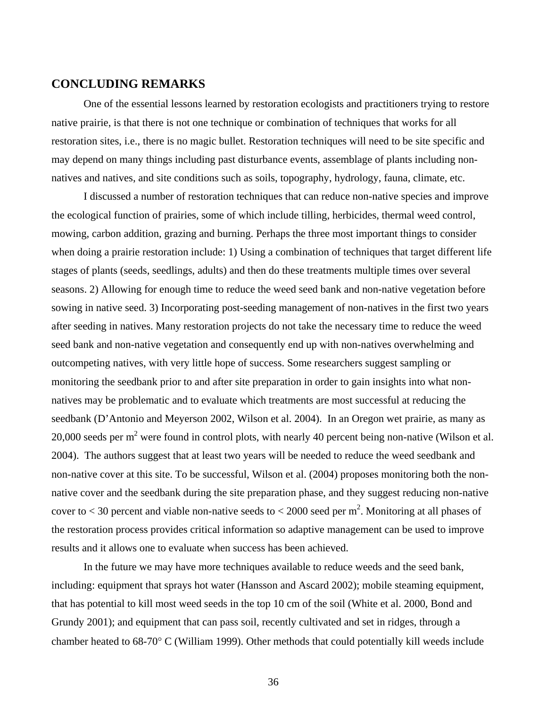## **CONCLUDING REMARKS**

One of the essential lessons learned by restoration ecologists and practitioners trying to restore native prairie, is that there is not one technique or combination of techniques that works for all restoration sites, i.e., there is no magic bullet. Restoration techniques will need to be site specific and may depend on many things including past disturbance events, assemblage of plants including nonnatives and natives, and site conditions such as soils, topography, hydrology, fauna, climate, etc.

I discussed a number of restoration techniques that can reduce non-native species and improve the ecological function of prairies, some of which include tilling, herbicides, thermal weed control, mowing, carbon addition, grazing and burning. Perhaps the three most important things to consider when doing a prairie restoration include: 1) Using a combination of techniques that target different life stages of plants (seeds, seedlings, adults) and then do these treatments multiple times over several seasons. 2) Allowing for enough time to reduce the weed seed bank and non-native vegetation before sowing in native seed. 3) Incorporating post-seeding management of non-natives in the first two years after seeding in natives. Many restoration projects do not take the necessary time to reduce the weed seed bank and non-native vegetation and consequently end up with non-natives overwhelming and outcompeting natives, with very little hope of success. Some researchers suggest sampling or monitoring the seedbank prior to and after site preparation in order to gain insights into what nonnatives may be problematic and to evaluate which treatments are most successful at reducing the seedbank (D'Antonio and Meyerson 2002, Wilson et al. 2004). In an Oregon wet prairie, as many as 20,000 seeds per  $m^2$  were found in control plots, with nearly 40 percent being non-native (Wilson et al. 2004). The authors suggest that at least two years will be needed to reduce the weed seedbank and non-native cover at this site. To be successful, Wilson et al. (2004) proposes monitoring both the nonnative cover and the seedbank during the site preparation phase, and they suggest reducing non-native cover to  $<$  30 percent and viable non-native seeds to  $<$  2000 seed per m<sup>2</sup>. Monitoring at all phases of the restoration process provides critical information so adaptive management can be used to improve results and it allows one to evaluate when success has been achieved.

In the future we may have more techniques available to reduce weeds and the seed bank, including: equipment that sprays hot water (Hansson and Ascard 2002); mobile steaming equipment, that has potential to kill most weed seeds in the top 10 cm of the soil (White et al. 2000, Bond and Grundy 2001); and equipment that can pass soil, recently cultivated and set in ridges, through a chamber heated to 68-70° C (William 1999). Other methods that could potentially kill weeds include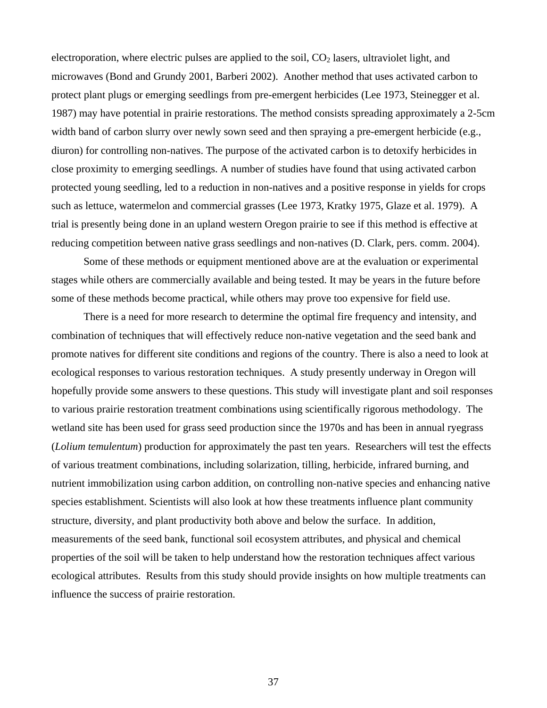electroporation, where electric pulses are applied to the soil,  $CO<sub>2</sub>$  lasers, ultraviolet light, and microwaves (Bond and Grundy 2001, Barberi 2002). Another method that uses activated carbon to protect plant plugs or emerging seedlings from pre-emergent herbicides (Lee 1973, Steinegger et al. 1987) may have potential in prairie restorations. The method consists spreading approximately a 2-5cm width band of carbon slurry over newly sown seed and then spraying a pre-emergent herbicide (e.g., diuron) for controlling non-natives. The purpose of the activated carbon is to detoxify herbicides in close proximity to emerging seedlings. A number of studies have found that using activated carbon protected young seedling, led to a reduction in non-natives and a positive response in yields for crops such as lettuce, watermelon and commercial grasses (Lee 1973, Kratky 1975, Glaze et al. 1979). A trial is presently being done in an upland western Oregon prairie to see if this method is effective at reducing competition between native grass seedlings and non-natives (D. Clark, pers. comm. 2004).

Some of these methods or equipment mentioned above are at the evaluation or experimental stages while others are commercially available and being tested. It may be years in the future before some of these methods become practical, while others may prove too expensive for field use.

There is a need for more research to determine the optimal fire frequency and intensity, and combination of techniques that will effectively reduce non-native vegetation and the seed bank and promote natives for different site conditions and regions of the country. There is also a need to look at ecological responses to various restoration techniques. A study presently underway in Oregon will hopefully provide some answers to these questions. This study will investigate plant and soil responses to various prairie restoration treatment combinations using scientifically rigorous methodology. The wetland site has been used for grass seed production since the 1970s and has been in annual ryegrass (*Lolium temulentum*) production for approximately the past ten years. Researchers will test the effects of various treatment combinations, including solarization, tilling, herbicide, infrared burning, and nutrient immobilization using carbon addition, on controlling non-native species and enhancing native species establishment. Scientists will also look at how these treatments influence plant community structure, diversity, and plant productivity both above and below the surface. In addition, measurements of the seed bank, functional soil ecosystem attributes, and physical and chemical properties of the soil will be taken to help understand how the restoration techniques affect various ecological attributes. Results from this study should provide insights on how multiple treatments can influence the success of prairie restoration.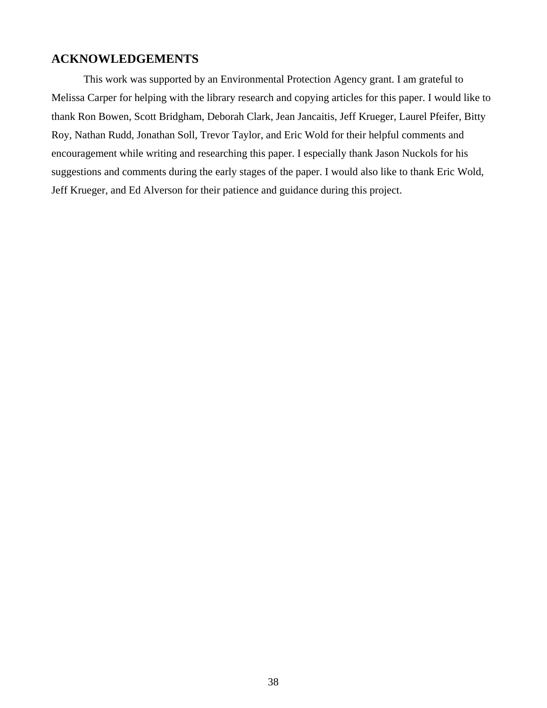## **ACKNOWLEDGEMENTS**

This work was supported by an Environmental Protection Agency grant. I am grateful to Melissa Carper for helping with the library research and copying articles for this paper. I would like to thank Ron Bowen, Scott Bridgham, Deborah Clark, Jean Jancaitis, Jeff Krueger, Laurel Pfeifer, Bitty Roy, Nathan Rudd, Jonathan Soll, Trevor Taylor, and Eric Wold for their helpful comments and encouragement while writing and researching this paper. I especially thank Jason Nuckols for his suggestions and comments during the early stages of the paper. I would also like to thank Eric Wold, Jeff Krueger, and Ed Alverson for their patience and guidance during this project.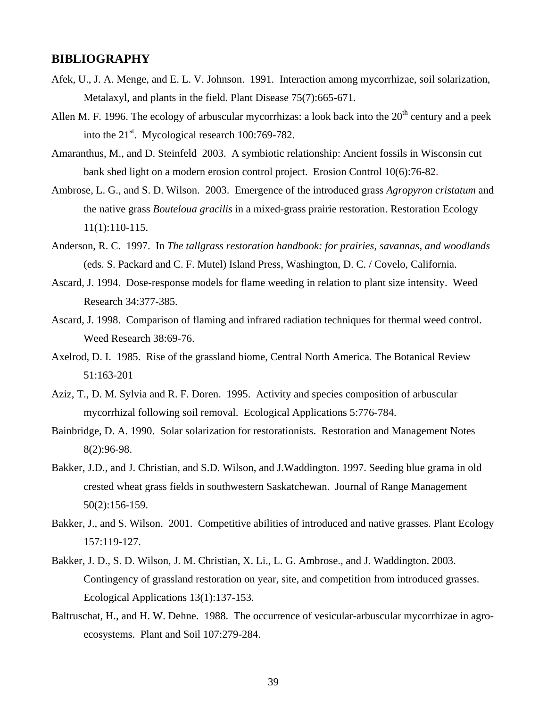## **BIBLIOGRAPHY**

- Afek, U., J. A. Menge, and E. L. V. Johnson. 1991. Interaction among mycorrhizae, soil solarization, Metalaxyl, and plants in the field. Plant Disease 75(7):665-671.
- Allen M. F. 1996. The ecology of arbuscular mycorrhizas: a look back into the  $20<sup>th</sup>$  century and a peek into the  $21<sup>st</sup>$ . Mycological research 100:769-782.
- Amaranthus, M., and D. Steinfeld 2003. A symbiotic relationship: Ancient fossils in Wisconsin cut bank shed light on a modern erosion control project. Erosion Control 10(6):76-82.
- Ambrose, L. G., and S. D. Wilson. 2003. Emergence of the introduced grass *Agropyron cristatum* and the native grass *Bouteloua gracilis* in a mixed-grass prairie restoration. Restoration Ecology 11(1):110-115.
- Anderson, R. C. 1997. In *The tallgrass restoration handbook: for prairies, savannas, and woodlands*  (eds. S. Packard and C. F. Mutel) Island Press, Washington, D. C. / Covelo, California.
- Ascard, J. 1994. Dose-response models for flame weeding in relation to plant size intensity. Weed Research 34:377-385.
- Ascard, J. 1998. Comparison of flaming and infrared radiation techniques for thermal weed control. Weed Research 38:69-76.
- Axelrod, D. I. 1985. Rise of the grassland biome, Central North America. The Botanical Review 51:163-201
- Aziz, T., D. M. Sylvia and R. F. Doren. 1995. Activity and species composition of arbuscular mycorrhizal following soil removal. Ecological Applications 5:776-784.
- Bainbridge, D. A. 1990. Solar solarization for restorationists. Restoration and Management Notes 8(2):96-98.
- Bakker, J.D., and J. Christian, and S.D. Wilson, and J.Waddington. 1997. Seeding blue grama in old crested wheat grass fields in southwestern Saskatchewan. Journal of Range Management 50(2):156-159.
- Bakker, J., and S. Wilson. 2001. Competitive abilities of introduced and native grasses. Plant Ecology 157:119-127.
- Bakker, J. D., S. D. Wilson, J. M. Christian, X. Li., L. G. Ambrose., and J. Waddington. 2003. Contingency of grassland restoration on year, site, and competition from introduced grasses. Ecological Applications 13(1):137-153.
- Baltruschat, H., and H. W. Dehne. 1988. The occurrence of vesicular-arbuscular mycorrhizae in agroecosystems. Plant and Soil 107:279-284.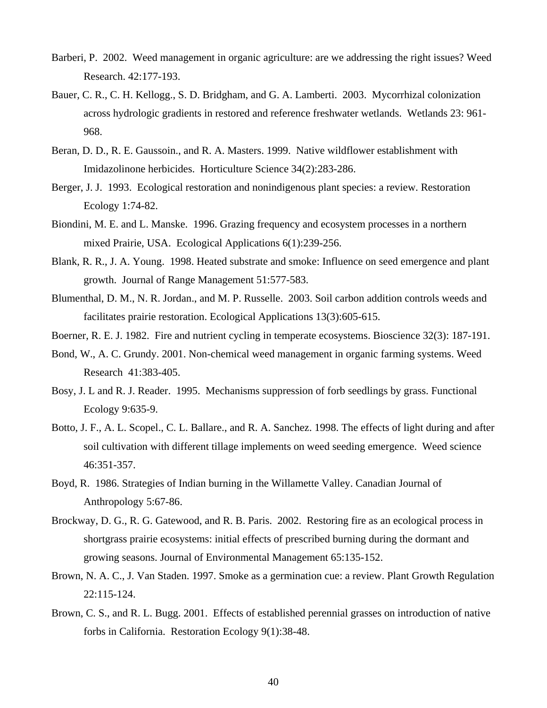- Barberi, P. 2002. Weed management in organic agriculture: are we addressing the right issues? Weed Research. 42:177-193.
- Bauer, C. R., C. H. Kellogg., S. D. Bridgham, and G. A. Lamberti. 2003. Mycorrhizal colonization across hydrologic gradients in restored and reference freshwater wetlands. Wetlands 23: 961- 968.
- Beran, D. D., R. E. Gaussoin., and R. A. Masters. 1999. Native wildflower establishment with Imidazolinone herbicides. Horticulture Science 34(2):283-286.
- Berger, J. J. 1993. Ecological restoration and nonindigenous plant species: a review. Restoration Ecology 1:74-82.
- Biondini, M. E. and L. Manske. 1996. Grazing frequency and ecosystem processes in a northern mixed Prairie, USA. Ecological Applications 6(1):239-256.
- Blank, R. R., J. A. Young. 1998. Heated substrate and smoke: Influence on seed emergence and plant growth. Journal of Range Management 51:577-583.
- Blumenthal, D. M., N. R. Jordan., and M. P. Russelle. 2003. Soil carbon addition controls weeds and facilitates prairie restoration. Ecological Applications 13(3):605-615.
- Boerner, R. E. J. 1982. Fire and nutrient cycling in temperate ecosystems. Bioscience 32(3): 187-191.
- Bond, W., A. C. Grundy. 2001. Non-chemical weed management in organic farming systems. Weed Research 41:383-405.
- Bosy, J. L and R. J. Reader. 1995. Mechanisms suppression of forb seedlings by grass. Functional Ecology 9:635-9.
- Botto, J. F., A. L. Scopel., C. L. Ballare., and R. A. Sanchez. 1998. The effects of light during and after soil cultivation with different tillage implements on weed seeding emergence. Weed science 46:351-357.
- Boyd, R. 1986. Strategies of Indian burning in the Willamette Valley. Canadian Journal of Anthropology 5:67-86.
- Brockway, D. G., R. G. Gatewood, and R. B. Paris. 2002. Restoring fire as an ecological process in shortgrass prairie ecosystems: initial effects of prescribed burning during the dormant and growing seasons. Journal of Environmental Management 65:135-152.
- Brown, N. A. C., J. Van Staden. 1997. Smoke as a germination cue: a review. Plant Growth Regulation 22:115-124.
- Brown, C. S., and R. L. Bugg. 2001. Effects of established perennial grasses on introduction of native forbs in California. Restoration Ecology 9(1):38-48.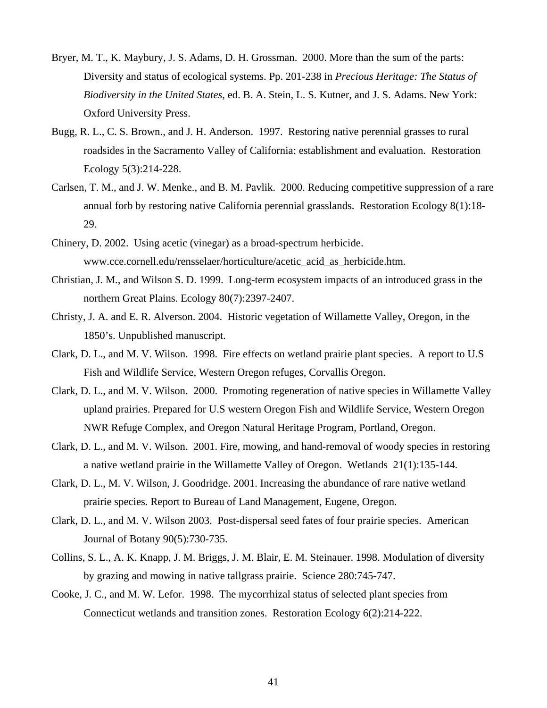- Bryer, M. T., K. Maybury, J. S. Adams, D. H. Grossman. 2000. More than the sum of the parts: Diversity and status of ecological systems. Pp. 201-238 in *Precious Heritage: The Status of Biodiversity in the United States*, ed. B. A. Stein, L. S. Kutner, and J. S. Adams. New York: Oxford University Press.
- Bugg, R. L., C. S. Brown., and J. H. Anderson. 1997. Restoring native perennial grasses to rural roadsides in the Sacramento Valley of California: establishment and evaluation. Restoration Ecology 5(3):214-228.
- Carlsen, T. M., and J. W. Menke., and B. M. Pavlik. 2000. Reducing competitive suppression of a rare annual forb by restoring native California perennial grasslands. Restoration Ecology 8(1):18- 29.
- Chinery, D. 2002. Using acetic (vinegar) as a broad-spectrum herbicide. www.cce.cornell.edu/rensselaer/horticulture/acetic\_acid\_as\_herbicide.htm.
- Christian, J. M., and Wilson S. D. 1999. Long-term ecosystem impacts of an introduced grass in the northern Great Plains. Ecology 80(7):2397-2407.
- Christy, J. A. and E. R. Alverson. 2004. Historic vegetation of Willamette Valley, Oregon, in the 1850's. Unpublished manuscript.
- Clark, D. L., and M. V. Wilson. 1998. Fire effects on wetland prairie plant species. A report to U.S Fish and Wildlife Service, Western Oregon refuges, Corvallis Oregon.
- Clark, D. L., and M. V. Wilson. 2000. Promoting regeneration of native species in Willamette Valley upland prairies. Prepared for U.S western Oregon Fish and Wildlife Service, Western Oregon NWR Refuge Complex, and Oregon Natural Heritage Program, Portland, Oregon.
- Clark, D. L., and M. V. Wilson. 2001. Fire, mowing, and hand-removal of woody species in restoring a native wetland prairie in the Willamette Valley of Oregon. Wetlands 21(1):135-144.
- Clark, D. L., M. V. Wilson, J. Goodridge. 2001. Increasing the abundance of rare native wetland prairie species. Report to Bureau of Land Management, Eugene, Oregon.
- Clark, D. L., and M. V. Wilson 2003. Post-dispersal seed fates of four prairie species. American Journal of Botany 90(5):730-735.
- Collins, S. L., A. K. Knapp, J. M. Briggs, J. M. Blair, E. M. Steinauer. 1998. Modulation of diversity by grazing and mowing in native tallgrass prairie. Science 280:745-747.
- Cooke, J. C., and M. W. Lefor. 1998. The mycorrhizal status of selected plant species from Connecticut wetlands and transition zones. Restoration Ecology 6(2):214-222.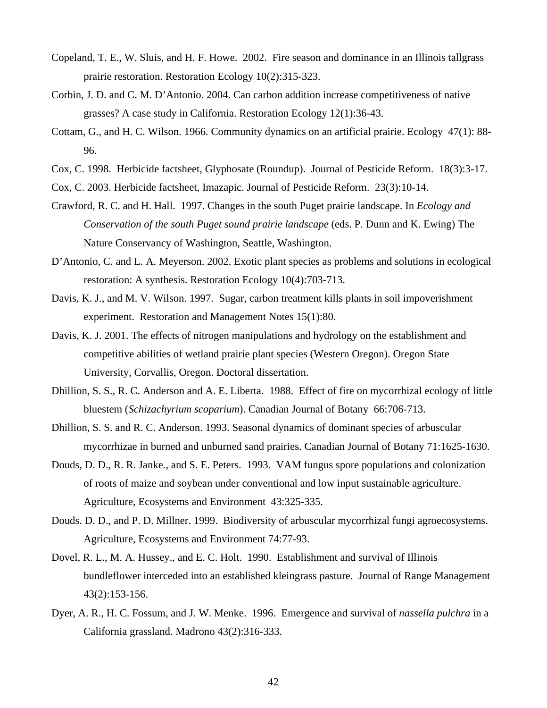- Copeland, T. E., W. Sluis, and H. F. Howe. 2002. Fire season and dominance in an Illinois tallgrass prairie restoration. Restoration Ecology 10(2):315-323.
- Corbin, J. D. and C. M. D'Antonio. 2004. Can carbon addition increase competitiveness of native grasses? A case study in California. Restoration Ecology 12(1):36-43.
- Cottam, G., and H. C. Wilson. 1966. Community dynamics on an artificial prairie. Ecology 47(1): 88- 96.
- Cox, C. 1998. Herbicide factsheet, Glyphosate (Roundup). Journal of Pesticide Reform. 18(3):3-17.
- Cox, C. 2003. Herbicide factsheet, Imazapic. Journal of Pesticide Reform. 23(3):10-14.
- Crawford, R. C. and H. Hall. 1997. Changes in the south Puget prairie landscape. In *Ecology and Conservation of the south Puget sound prairie landscape* (eds. P. Dunn and K. Ewing) The Nature Conservancy of Washington, Seattle, Washington.
- D'Antonio, C. and L. A. Meyerson. 2002. Exotic plant species as problems and solutions in ecological restoration: A synthesis. Restoration Ecology 10(4):703-713.
- Davis, K. J., and M. V. Wilson. 1997. Sugar, carbon treatment kills plants in soil impoverishment experiment. Restoration and Management Notes 15(1):80.
- Davis, K. J. 2001. The effects of nitrogen manipulations and hydrology on the establishment and competitive abilities of wetland prairie plant species (Western Oregon). Oregon State University, Corvallis, Oregon. Doctoral dissertation.
- Dhillion, S. S., R. C. Anderson and A. E. Liberta. 1988. Effect of fire on mycorrhizal ecology of little bluestem (*Schizachyrium scoparium*). Canadian Journal of Botany 66:706-713.
- Dhillion, S. S. and R. C. Anderson. 1993. Seasonal dynamics of dominant species of arbuscular mycorrhizae in burned and unburned sand prairies. Canadian Journal of Botany 71:1625-1630.
- Douds, D. D., R. R. Janke., and S. E. Peters. 1993. VAM fungus spore populations and colonization of roots of maize and soybean under conventional and low input sustainable agriculture. Agriculture, Ecosystems and Environment 43:325-335.
- Douds. D. D., and P. D. Millner. 1999. Biodiversity of arbuscular mycorrhizal fungi agroecosystems. Agriculture, Ecosystems and Environment 74:77-93.
- Dovel, R. L., M. A. Hussey., and E. C. Holt. 1990. Establishment and survival of Illinois bundleflower interceded into an established kleingrass pasture. Journal of Range Management 43(2):153-156.
- Dyer, A. R., H. C. Fossum, and J. W. Menke. 1996. Emergence and survival of *nassella pulchra* in a California grassland. Madrono 43(2):316-333.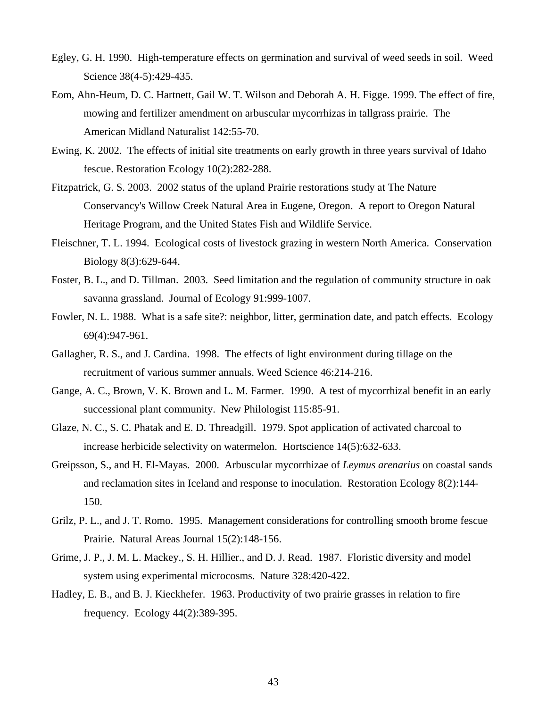- Egley, G. H. 1990. High-temperature effects on germination and survival of weed seeds in soil. Weed Science 38(4-5):429-435.
- Eom, Ahn-Heum, D. C. Hartnett, Gail W. T. Wilson and Deborah A. H. Figge. 1999. The effect of fire, mowing and fertilizer amendment on arbuscular mycorrhizas in tallgrass prairie. The American Midland Naturalist 142:55-70.
- Ewing, K. 2002. The effects of initial site treatments on early growth in three years survival of Idaho fescue. Restoration Ecology 10(2):282-288.
- Fitzpatrick, G. S. 2003. 2002 status of the upland Prairie restorations study at The Nature Conservancy's Willow Creek Natural Area in Eugene, Oregon. A report to Oregon Natural Heritage Program, and the United States Fish and Wildlife Service.
- Fleischner, T. L. 1994. Ecological costs of livestock grazing in western North America. Conservation Biology 8(3):629-644.
- Foster, B. L., and D. Tillman. 2003. Seed limitation and the regulation of community structure in oak savanna grassland. Journal of Ecology 91:999-1007.
- Fowler, N. L. 1988. What is a safe site?: neighbor, litter, germination date, and patch effects. Ecology 69(4):947-961.
- Gallagher, R. S., and J. Cardina. 1998. The effects of light environment during tillage on the recruitment of various summer annuals. Weed Science 46:214-216.
- Gange, A. C., Brown, V. K. Brown and L. M. Farmer. 1990. A test of mycorrhizal benefit in an early successional plant community. New Philologist 115:85-91.
- Glaze, N. C., S. C. Phatak and E. D. Threadgill. 1979. Spot application of activated charcoal to increase herbicide selectivity on watermelon. Hortscience 14(5):632-633.
- Greipsson, S., and H. El-Mayas. 2000. Arbuscular mycorrhizae of *Leymus arenarius* on coastal sands and reclamation sites in Iceland and response to inoculation. Restoration Ecology 8(2):144- 150.
- Grilz, P. L., and J. T. Romo. 1995. Management considerations for controlling smooth brome fescue Prairie. Natural Areas Journal 15(2):148-156.
- Grime, J. P., J. M. L. Mackey., S. H. Hillier., and D. J. Read. 1987. Floristic diversity and model system using experimental microcosms. Nature 328:420-422.
- Hadley, E. B., and B. J. Kieckhefer. 1963. Productivity of two prairie grasses in relation to fire frequency. Ecology 44(2):389-395.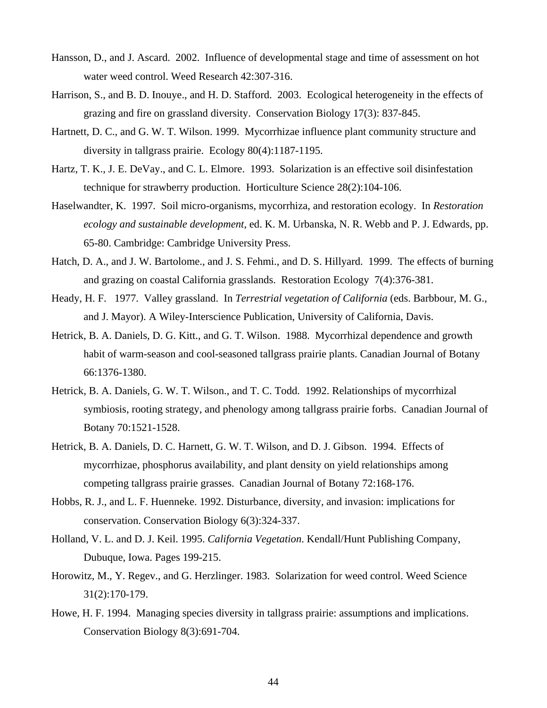- Hansson, D., and J. Ascard. 2002. Influence of developmental stage and time of assessment on hot water weed control. Weed Research 42:307-316.
- Harrison, S., and B. D. Inouye., and H. D. Stafford. 2003. Ecological heterogeneity in the effects of grazing and fire on grassland diversity. Conservation Biology 17(3): 837-845.
- Hartnett, D. C., and G. W. T. Wilson. 1999. Mycorrhizae influence plant community structure and diversity in tallgrass prairie. Ecology 80(4):1187-1195.
- Hartz, T. K., J. E. DeVay., and C. L. Elmore. 1993. Solarization is an effective soil disinfestation technique for strawberry production. Horticulture Science 28(2):104-106.
- Haselwandter, K. 1997. Soil micro-organisms, mycorrhiza, and restoration ecology. In *Restoration ecology and sustainable development*, ed. K. M. Urbanska, N. R. Webb and P. J. Edwards, pp. 65-80. Cambridge: Cambridge University Press.
- Hatch, D. A., and J. W. Bartolome., and J. S. Fehmi., and D. S. Hillyard. 1999. The effects of burning and grazing on coastal California grasslands. Restoration Ecology 7(4):376-381.
- Heady, H. F. 1977. Valley grassland. In *Terrestrial vegetation of California* (eds. Barbbour, M. G., and J. Mayor). A Wiley-Interscience Publication, University of California, Davis.
- Hetrick, B. A. Daniels, D. G. Kitt., and G. T. Wilson. 1988. Mycorrhizal dependence and growth habit of warm-season and cool-seasoned tallgrass prairie plants. Canadian Journal of Botany 66:1376-1380.
- Hetrick, B. A. Daniels, G. W. T. Wilson., and T. C. Todd. 1992. Relationships of mycorrhizal symbiosis, rooting strategy, and phenology among tallgrass prairie forbs. Canadian Journal of Botany 70:1521-1528.
- Hetrick, B. A. Daniels, D. C. Harnett, G. W. T. Wilson, and D. J. Gibson. 1994. Effects of mycorrhizae, phosphorus availability, and plant density on yield relationships among competing tallgrass prairie grasses. Canadian Journal of Botany 72:168-176.
- Hobbs, R. J., and L. F. Huenneke. 1992. Disturbance, diversity, and invasion: implications for conservation. Conservation Biology 6(3):324-337.
- Holland, V. L. and D. J. Keil. 1995. *California Vegetation*. Kendall/Hunt Publishing Company, Dubuque, Iowa. Pages 199-215.
- Horowitz, M., Y. Regev., and G. Herzlinger. 1983. Solarization for weed control. Weed Science 31(2):170-179.
- Howe, H. F. 1994. Managing species diversity in tallgrass prairie: assumptions and implications. Conservation Biology 8(3):691-704.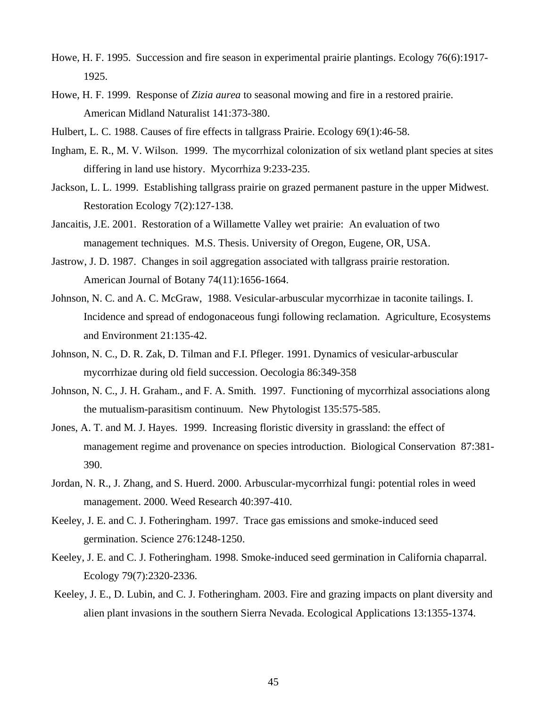- Howe, H. F. 1995. Succession and fire season in experimental prairie plantings. Ecology 76(6):1917- 1925.
- Howe, H. F. 1999. Response of *Zizia aurea* to seasonal mowing and fire in a restored prairie. American Midland Naturalist 141:373-380.
- Hulbert, L. C. 1988. Causes of fire effects in tallgrass Prairie. Ecology 69(1):46-58.
- Ingham, E. R., M. V. Wilson. 1999. The mycorrhizal colonization of six wetland plant species at sites differing in land use history. Mycorrhiza 9:233-235.
- Jackson, L. L. 1999. Establishing tallgrass prairie on grazed permanent pasture in the upper Midwest. Restoration Ecology 7(2):127-138.
- Jancaitis, J.E. 2001. Restoration of a Willamette Valley wet prairie: An evaluation of two management techniques. M.S. Thesis. University of Oregon, Eugene, OR, USA.
- Jastrow, J. D. 1987. Changes in soil aggregation associated with tallgrass prairie restoration. American Journal of Botany 74(11):1656-1664.
- Johnson, N. C. and A. C. McGraw, 1988. Vesicular-arbuscular mycorrhizae in taconite tailings. I. Incidence and spread of endogonaceous fungi following reclamation. Agriculture, Ecosystems and Environment 21:135-42.
- Johnson, N. C., D. R. Zak, D. Tilman and F.I. Pfleger. 1991. Dynamics of vesicular-arbuscular mycorrhizae during old field succession. Oecologia 86:349-358
- Johnson, N. C., J. H. Graham., and F. A. Smith. 1997. Functioning of mycorrhizal associations along the mutualism-parasitism continuum. New Phytologist 135:575-585.
- Jones, A. T. and M. J. Hayes. 1999. Increasing floristic diversity in grassland: the effect of management regime and provenance on species introduction. Biological Conservation 87:381- 390.
- Jordan, N. R., J. Zhang, and S. Huerd. 2000. Arbuscular-mycorrhizal fungi: potential roles in weed management. 2000. Weed Research 40:397-410.
- Keeley, J. E. and C. J. Fotheringham. 1997. Trace gas emissions and smoke-induced seed germination. Science 276:1248-1250.
- Keeley, J. E. and C. J. Fotheringham. 1998. Smoke-induced seed germination in California chaparral. Ecology 79(7):2320-2336.
- Keeley, J. E., D. Lubin, and C. J. Fotheringham. 2003. Fire and grazing impacts on plant diversity and alien plant invasions in the southern Sierra Nevada. Ecological Applications 13:1355-1374.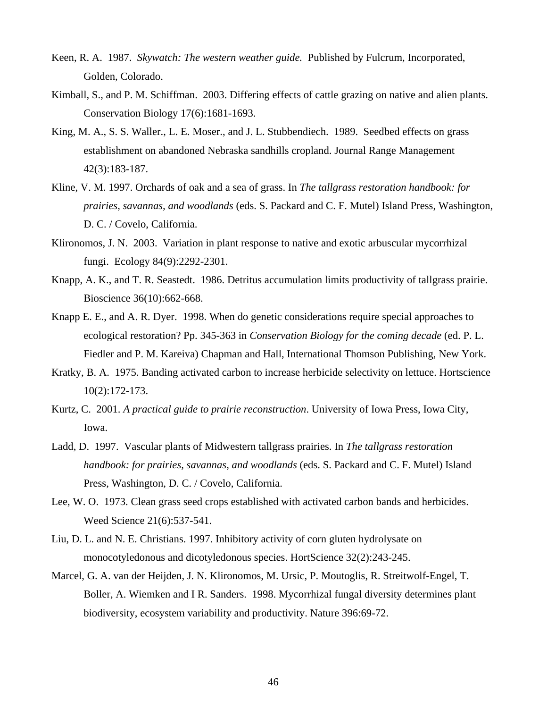- Keen, R. A. 1987. *Skywatch: The western weather guide.* Published by Fulcrum, Incorporated, Golden, Colorado.
- Kimball, S., and P. M. Schiffman. 2003. Differing effects of cattle grazing on native and alien plants. Conservation Biology 17(6):1681-1693.
- King, M. A., S. S. Waller., L. E. Moser., and J. L. Stubbendiech. 1989. Seedbed effects on grass establishment on abandoned Nebraska sandhills cropland. Journal Range Management 42(3):183-187.
- Kline, V. M. 1997. Orchards of oak and a sea of grass. In *The tallgrass restoration handbook: for prairies, savannas, and woodlands* (eds. S. Packard and C. F. Mutel) Island Press, Washington, D. C. / Covelo, California.
- Klironomos, J. N. 2003. Variation in plant response to native and exotic arbuscular mycorrhizal fungi. Ecology 84(9):2292-2301.
- Knapp, A. K., and T. R. Seastedt. 1986. Detritus accumulation limits productivity of tallgrass prairie. Bioscience 36(10):662-668.
- Knapp E. E., and A. R. Dyer. 1998. When do genetic considerations require special approaches to ecological restoration? Pp. 345-363 in *Conservation Biology for the coming decade* (ed. P. L. Fiedler and P. M. Kareiva) Chapman and Hall, International Thomson Publishing, New York.
- Kratky, B. A. 1975. Banding activated carbon to increase herbicide selectivity on lettuce. Hortscience 10(2):172-173.
- Kurtz, C. 2001. *A practical guide to prairie reconstruction*. University of Iowa Press, Iowa City, Iowa.
- Ladd, D. 1997. Vascular plants of Midwestern tallgrass prairies. In *The tallgrass restoration handbook: for prairies, savannas, and woodlands* (eds. S. Packard and C. F. Mutel) Island Press, Washington, D. C. / Covelo, California.
- Lee, W. O. 1973. Clean grass seed crops established with activated carbon bands and herbicides. Weed Science 21(6):537-541.
- Liu, D. L. and N. E. Christians. 1997. Inhibitory activity of corn gluten hydrolysate on monocotyledonous and dicotyledonous species. HortScience 32(2):243-245.
- Marcel, G. A. van der Heijden, J. N. Klironomos, M. Ursic, P. Moutoglis, R. Streitwolf-Engel, T. Boller, A. Wiemken and I R. Sanders. 1998. Mycorrhizal fungal diversity determines plant biodiversity, ecosystem variability and productivity. Nature 396:69-72.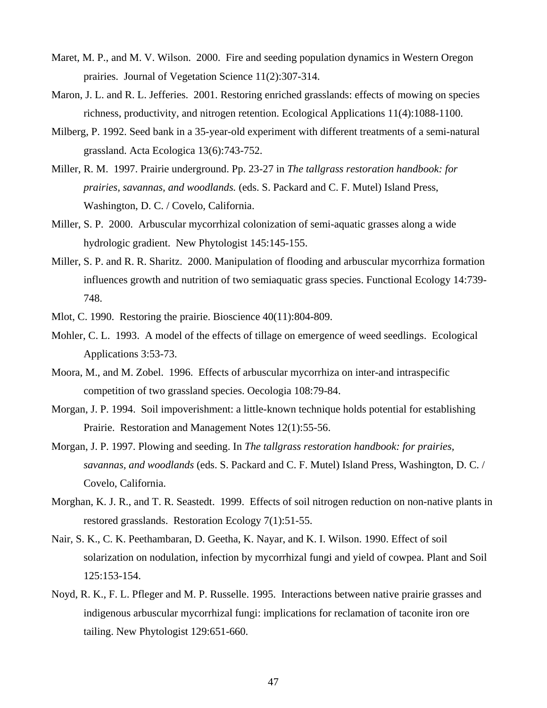- Maret, M. P., and M. V. Wilson. 2000. Fire and seeding population dynamics in Western Oregon prairies. Journal of Vegetation Science 11(2):307-314.
- Maron, J. L. and R. L. Jefferies. 2001. Restoring enriched grasslands: effects of mowing on species richness, productivity, and nitrogen retention. Ecological Applications 11(4):1088-1100.
- Milberg, P. 1992. Seed bank in a 35-year-old experiment with different treatments of a semi-natural grassland. Acta Ecologica 13(6):743-752.
- Miller, R. M. 1997. Prairie underground. Pp. 23-27 in *The tallgrass restoration handbook: for prairies, savannas, and woodlands.* (eds. S. Packard and C. F. Mutel) Island Press, Washington, D. C. / Covelo, California.
- Miller, S. P. 2000. Arbuscular mycorrhizal colonization of semi-aquatic grasses along a wide hydrologic gradient. New Phytologist 145:145-155.
- Miller, S. P. and R. R. Sharitz. 2000. Manipulation of flooding and arbuscular mycorrhiza formation influences growth and nutrition of two semiaquatic grass species. Functional Ecology 14:739- 748.
- Mlot, C. 1990. Restoring the prairie. Bioscience 40(11):804-809.
- Mohler, C. L. 1993. A model of the effects of tillage on emergence of weed seedlings. Ecological Applications 3:53-73.
- Moora, M., and M. Zobel. 1996. Effects of arbuscular mycorrhiza on inter-and intraspecific competition of two grassland species. Oecologia 108:79-84.
- Morgan, J. P. 1994. Soil impoverishment: a little-known technique holds potential for establishing Prairie. Restoration and Management Notes 12(1):55-56.
- Morgan, J. P. 1997. Plowing and seeding. In *The tallgrass restoration handbook: for prairies, savannas, and woodlands* (eds. S. Packard and C. F. Mutel) Island Press, Washington, D. C. / Covelo, California.
- Morghan, K. J. R., and T. R. Seastedt. 1999. Effects of soil nitrogen reduction on non-native plants in restored grasslands. Restoration Ecology 7(1):51-55.
- Nair, S. K., C. K. Peethambaran, D. Geetha, K. Nayar, and K. I. Wilson. 1990. Effect of soil solarization on nodulation, infection by mycorrhizal fungi and yield of cowpea. Plant and Soil 125:153-154.
- Noyd, R. K., F. L. Pfleger and M. P. Russelle. 1995. Interactions between native prairie grasses and indigenous arbuscular mycorrhizal fungi: implications for reclamation of taconite iron ore tailing. New Phytologist 129:651-660.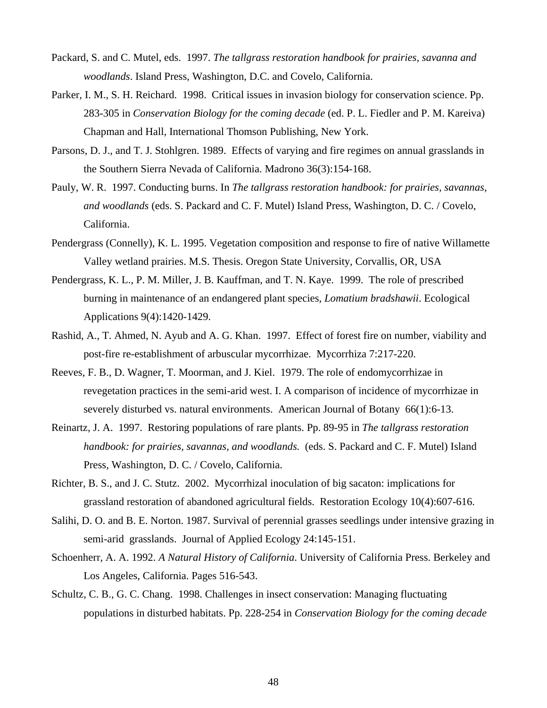- Packard, S. and C. Mutel, eds. 1997. *The tallgrass restoration handbook for prairies, savanna and woodlands*. Island Press, Washington, D.C. and Covelo, California.
- Parker, I. M., S. H. Reichard. 1998. Critical issues in invasion biology for conservation science. Pp. 283-305 in *Conservation Biology for the coming decade* (ed. P. L. Fiedler and P. M. Kareiva) Chapman and Hall, International Thomson Publishing, New York.
- Parsons, D. J., and T. J. Stohlgren. 1989. Effects of varying and fire regimes on annual grasslands in the Southern Sierra Nevada of California. Madrono 36(3):154-168.
- Pauly, W. R. 1997. Conducting burns. In *The tallgrass restoration handbook: for prairies, savannas, and woodlands* (eds. S. Packard and C. F. Mutel) Island Press, Washington, D. C. / Covelo, California.
- Pendergrass (Connelly), K. L. 1995. Vegetation composition and response to fire of native Willamette Valley wetland prairies. M.S. Thesis. Oregon State University, Corvallis, OR, USA
- Pendergrass, K. L., P. M. Miller, J. B. Kauffman, and T. N. Kaye. 1999. The role of prescribed burning in maintenance of an endangered plant species, *Lomatium bradshawii*. Ecological Applications 9(4):1420-1429.
- Rashid, A., T. Ahmed, N. Ayub and A. G. Khan. 1997. Effect of forest fire on number, viability and post-fire re-establishment of arbuscular mycorrhizae. Mycorrhiza 7:217-220.
- Reeves, F. B., D. Wagner, T. Moorman, and J. Kiel. 1979. The role of endomycorrhizae in revegetation practices in the semi-arid west. I. A comparison of incidence of mycorrhizae in severely disturbed vs. natural environments. American Journal of Botany 66(1):6-13.
- Reinartz, J. A. 1997. Restoring populations of rare plants. Pp. 89-95 in *The tallgrass restoration handbook: for prairies, savannas, and woodlands.* (eds. S. Packard and C. F. Mutel) Island Press, Washington, D. C. / Covelo, California.
- Richter, B. S., and J. C. Stutz. 2002. Mycorrhizal inoculation of big sacaton: implications for grassland restoration of abandoned agricultural fields. Restoration Ecology 10(4):607-616.
- Salihi, D. O. and B. E. Norton. 1987. Survival of perennial grasses seedlings under intensive grazing in semi-arid grasslands. Journal of Applied Ecology 24:145-151.
- Schoenherr, A. A. 1992. *A Natural History of California*. University of California Press. Berkeley and Los Angeles, California. Pages 516-543.
- Schultz, C. B., G. C. Chang. 1998. Challenges in insect conservation: Managing fluctuating populations in disturbed habitats. Pp. 228-254 in *Conservation Biology for the coming decade*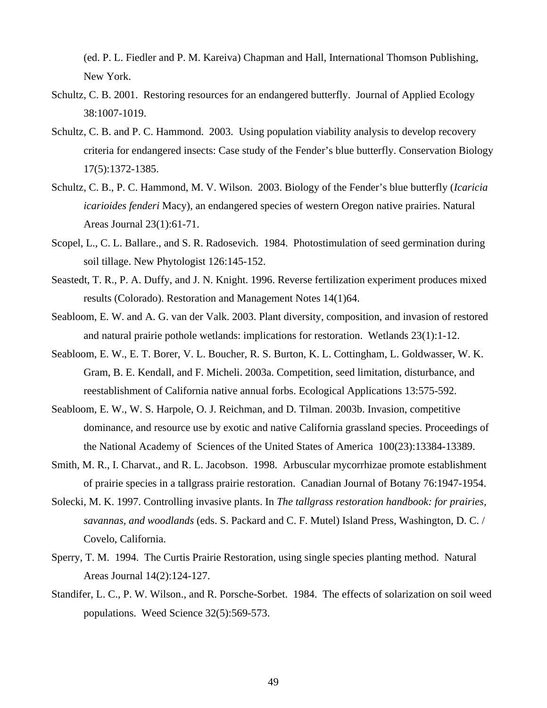(ed. P. L. Fiedler and P. M. Kareiva) Chapman and Hall, International Thomson Publishing, New York.

- Schultz, C. B. 2001. Restoring resources for an endangered butterfly. Journal of Applied Ecology 38:1007-1019.
- Schultz, C. B. and P. C. Hammond. 2003. Using population viability analysis to develop recovery criteria for endangered insects: Case study of the Fender's blue butterfly. Conservation Biology 17(5):1372-1385.
- Schultz, C. B., P. C. Hammond, M. V. Wilson. 2003. Biology of the Fender's blue butterfly (*Icaricia icarioides fenderi* Macy), an endangered species of western Oregon native prairies. Natural Areas Journal 23(1):61-71.
- Scopel, L., C. L. Ballare., and S. R. Radosevich. 1984. Photostimulation of seed germination during soil tillage. New Phytologist 126:145-152.
- Seastedt, T. R., P. A. Duffy, and J. N. Knight. 1996. Reverse fertilization experiment produces mixed results (Colorado). Restoration and Management Notes 14(1)64.
- Seabloom, E. W. and A. G. van der Valk. 2003. Plant diversity, composition, and invasion of restored and natural prairie pothole wetlands: implications for restoration. Wetlands 23(1):1-12.
- Seabloom, E. W., E. T. Borer, V. L. Boucher, R. S. Burton, K. L. Cottingham, L. Goldwasser, W. K. Gram, B. E. Kendall, and F. Micheli. 2003a. Competition, seed limitation, disturbance, and reestablishment of California native annual forbs. Ecological Applications 13:575-592.
- Seabloom, E. W., W. S. Harpole, O. J. Reichman, and D. Tilman. 2003b. Invasion, competitive dominance, and resource use by exotic and native California grassland species. Proceedings of the National Academy of Sciences of the United States of America 100(23):13384-13389.
- Smith, M. R., I. Charvat., and R. L. Jacobson. 1998. Arbuscular mycorrhizae promote establishment of prairie species in a tallgrass prairie restoration. Canadian Journal of Botany 76:1947-1954.
- Solecki, M. K. 1997. Controlling invasive plants. In *The tallgrass restoration handbook: for prairies, savannas, and woodlands* (eds. S. Packard and C. F. Mutel) Island Press, Washington, D. C. / Covelo, California.
- Sperry, T. M. 1994. The Curtis Prairie Restoration, using single species planting method. Natural Areas Journal 14(2):124-127.
- Standifer, L. C., P. W. Wilson., and R. Porsche-Sorbet. 1984. The effects of solarization on soil weed populations. Weed Science 32(5):569-573.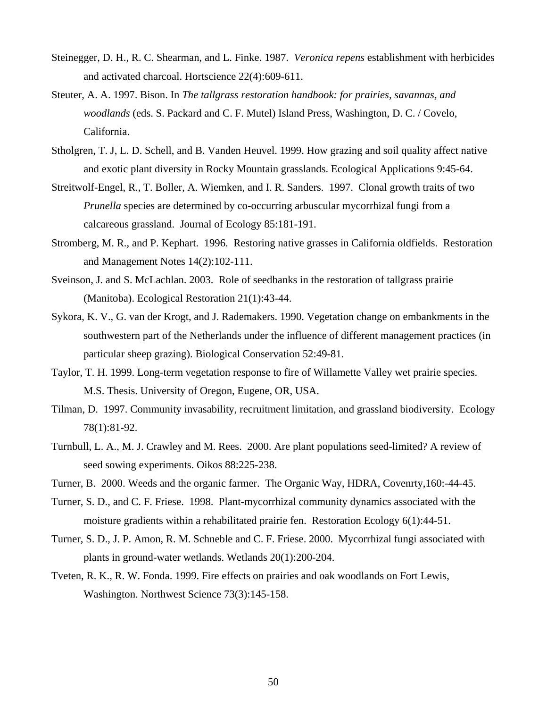- Steinegger, D. H., R. C. Shearman, and L. Finke. 1987. *Veronica repens* establishment with herbicides and activated charcoal. Hortscience 22(4):609-611.
- Steuter, A. A. 1997. Bison. In *The tallgrass restoration handbook: for prairies, savannas, and woodlands* (eds. S. Packard and C. F. Mutel) Island Press, Washington, D. C. / Covelo, California.
- Stholgren, T. J, L. D. Schell, and B. Vanden Heuvel. 1999. How grazing and soil quality affect native and exotic plant diversity in Rocky Mountain grasslands. Ecological Applications 9:45-64.
- Streitwolf-Engel, R., T. Boller, A. Wiemken, and I. R. Sanders. 1997. Clonal growth traits of two *Prunella* species are determined by co-occurring arbuscular mycorrhizal fungi from a calcareous grassland. Journal of Ecology 85:181-191.
- Stromberg, M. R., and P. Kephart. 1996. Restoring native grasses in California oldfields. Restoration and Management Notes 14(2):102-111.
- Sveinson, J. and S. McLachlan. 2003. Role of seedbanks in the restoration of tallgrass prairie (Manitoba). Ecological Restoration 21(1):43-44.
- Sykora, K. V., G. van der Krogt, and J. Rademakers. 1990. Vegetation change on embankments in the southwestern part of the Netherlands under the influence of different management practices (in particular sheep grazing). Biological Conservation 52:49-81.
- Taylor, T. H. 1999. Long-term vegetation response to fire of Willamette Valley wet prairie species. M.S. Thesis. University of Oregon, Eugene, OR, USA.
- Tilman, D. 1997. Community invasability, recruitment limitation, and grassland biodiversity. Ecology 78(1):81-92.
- Turnbull, L. A., M. J. Crawley and M. Rees. 2000. Are plant populations seed-limited? A review of seed sowing experiments. Oikos 88:225-238.
- Turner, B. 2000. Weeds and the organic farmer. The Organic Way, HDRA, Covenrty,160:-44-45.
- Turner, S. D., and C. F. Friese. 1998. Plant-mycorrhizal community dynamics associated with the moisture gradients within a rehabilitated prairie fen. Restoration Ecology 6(1):44-51.
- Turner, S. D., J. P. Amon, R. M. Schneble and C. F. Friese. 2000. Mycorrhizal fungi associated with plants in ground-water wetlands. Wetlands 20(1):200-204.
- Tveten, R. K., R. W. Fonda. 1999. Fire effects on prairies and oak woodlands on Fort Lewis, Washington. Northwest Science 73(3):145-158.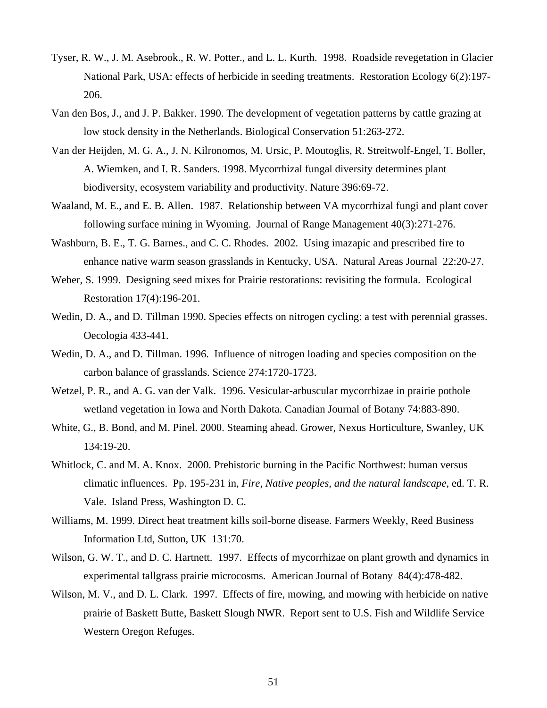- Tyser, R. W., J. M. Asebrook., R. W. Potter., and L. L. Kurth. 1998. Roadside revegetation in Glacier National Park, USA: effects of herbicide in seeding treatments. Restoration Ecology 6(2):197- 206.
- Van den Bos, J., and J. P. Bakker. 1990. The development of vegetation patterns by cattle grazing at low stock density in the Netherlands. Biological Conservation 51:263-272.
- Van der Heijden, M. G. A., J. N. Kilronomos, M. Ursic, P. Moutoglis, R. Streitwolf-Engel, T. Boller, A. Wiemken, and I. R. Sanders. 1998. Mycorrhizal fungal diversity determines plant biodiversity, ecosystem variability and productivity. Nature 396:69-72.
- Waaland, M. E., and E. B. Allen. 1987. Relationship between VA mycorrhizal fungi and plant cover following surface mining in Wyoming. Journal of Range Management 40(3):271-276.
- Washburn, B. E., T. G. Barnes., and C. C. Rhodes. 2002. Using imazapic and prescribed fire to enhance native warm season grasslands in Kentucky, USA. Natural Areas Journal 22:20-27.
- Weber, S. 1999. Designing seed mixes for Prairie restorations: revisiting the formula. Ecological Restoration 17(4):196-201.
- Wedin, D. A., and D. Tillman 1990. Species effects on nitrogen cycling: a test with perennial grasses. Oecologia 433-441.
- Wedin, D. A., and D. Tillman. 1996. Influence of nitrogen loading and species composition on the carbon balance of grasslands. Science 274:1720-1723.
- Wetzel, P. R., and A. G. van der Valk. 1996. Vesicular-arbuscular mycorrhizae in prairie pothole wetland vegetation in Iowa and North Dakota. Canadian Journal of Botany 74:883-890.
- White, G., B. Bond, and M. Pinel. 2000. Steaming ahead. Grower, Nexus Horticulture, Swanley, UK 134:19-20.
- Whitlock, C. and M. A. Knox. 2000. Prehistoric burning in the Pacific Northwest: human versus climatic influences. Pp. 195-231 in, *Fire, Native peoples, and the natural landscape*, ed. T. R. Vale. Island Press, Washington D. C.
- Williams, M. 1999. Direct heat treatment kills soil-borne disease. Farmers Weekly, Reed Business Information Ltd, Sutton, UK 131:70.
- Wilson, G. W. T., and D. C. Hartnett. 1997. Effects of mycorrhizae on plant growth and dynamics in experimental tallgrass prairie microcosms. American Journal of Botany 84(4):478-482.
- Wilson, M. V., and D. L. Clark. 1997. Effects of fire, mowing, and mowing with herbicide on native prairie of Baskett Butte, Baskett Slough NWR. Report sent to U.S. Fish and Wildlife Service Western Oregon Refuges.